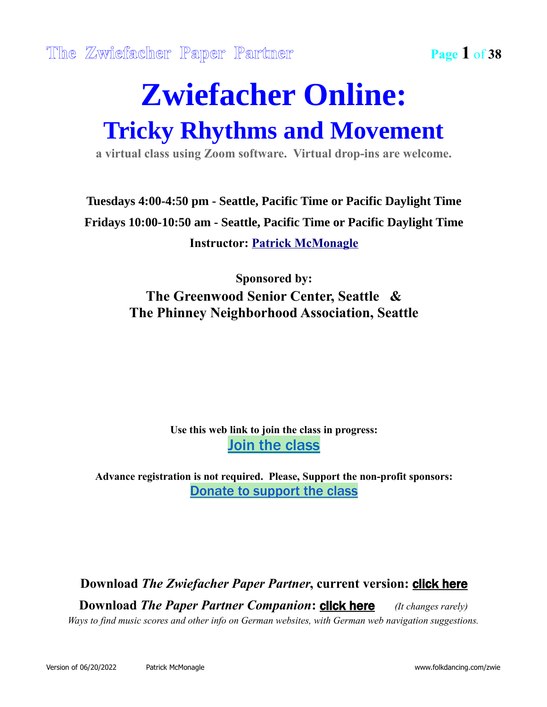### **Zwiefacher Online: Tricky Rhythms and Movement**

**a virtual class using Zoom software. Virtual drop-ins are welcome.**

#### **Tuesdays 4:00-4:50 pm - Seattle, Pacific Time or Pacific Daylight Time Fridays 10:00-10:50 am - Seattle, Pacific Time or Pacific Daylight Time Instructor: [Patrick McMonagle](mailto:zwiefacher@folkdancing.com)**

#### **Sponsored by: The Greenwood Senior Center, Seattle & The Phinney Neighborhood Association, Seattle**

#### **Use this web link to join the class in progress:** [Join the class](https://zoom.us/j/99510558994?pwd=emV1VHZQcFQyTmRNbGl3K3hXRGlQQT09)

**Advance registration is not required. Please, Support the non-profit sponsors:** [Donate to support the class](https://phinney.ejoinme.org/MyPages/GSCProgramsPayments/tabid/1142712/Default.aspx)

**Download** *The Zwiefacher Paper Partner***, current version:** [click here](http://www.folkdancing.com/zwie) **Download** *The Paper Partner Companion***: <b>[click here](http://www.folkdancing.com/zwie2)** (It changes rarely) *Ways to find music scores and other info on German websites, with German web navigation suggestions.*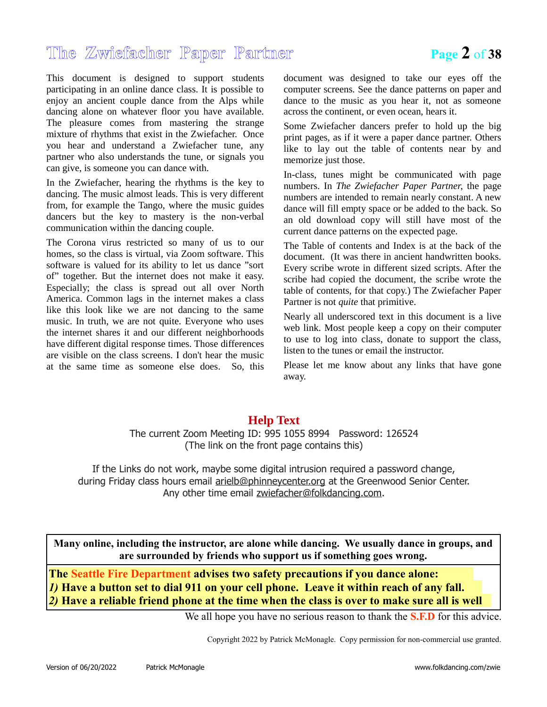#### **The Zwiefacher Paper Partner Page 2** of **38**

This document is designed to support students participating in an online dance class. It is possible to enjoy an ancient couple dance from the Alps while dancing alone on whatever floor you have available. The pleasure comes from mastering the strange mixture of rhythms that exist in the Zwiefacher. Once you hear and understand a Zwiefacher tune, any partner who also understands the tune, or signals you can give, is someone you can dance with.

In the Zwiefacher, hearing the rhythms is the key to dancing. The music almost leads. This is very different from, for example the Tango, where the music guides dancers but the key to mastery is the non-verbal communication within the dancing couple.

The Corona virus restricted so many of us to our homes, so the class is virtual, via Zoom software. This software is valued for its ability to let us dance "sort of" together. But the internet does not make it easy. Especially; the class is spread out all over North America. Common lags in the internet makes a class like this look like we are not dancing to the same music. In truth, we are not quite. Everyone who uses the internet shares it and our different neighborhoods have different digital response times. Those differences are visible on the class screens. I don't hear the music at the same time as someone else does. So, this document was designed to take our eyes off the computer screens. See the dance patterns on paper and dance to the music as you hear it, not as someone across the continent, or even ocean, hears it.

Some Zwiefacher dancers prefer to hold up the big print pages, as if it were a paper dance partner. Others like to lay out the table of contents near by and memorize just those.

In-class, tunes might be communicated with page numbers. In *The Zwiefacher Paper Partner*, the page numbers are intended to remain nearly constant. A new dance will fill empty space or be added to the back. So an old download copy will still have most of the current dance patterns on the expected page.

The Table of contents and Index is at the back of the document. (It was there in ancient handwritten books. Every scribe wrote in different sized scripts. After the scribe had copied the document, the scribe wrote the table of contents, for that copy.) The Zwiefacher Paper Partner is not *quite* that primitive.

Nearly all underscored text in this document is a live web link. Most people keep a copy on their computer to use to log into class, donate to support the class, listen to the tunes or email the instructor.

Please let me know about any links that have gone away.

#### **Help Text**

The current Zoom Meeting ID: 995 1055 8994 Password: 126524 (The link on the front page contains this)

If the Links do not work, maybe some digital intrusion required a password change, during Friday class hours email [arielb@phinneycenter.org](mailto:arielb@phinneycenter.org?subject=Tricky%20Rhythm%20Password%20Please) at the Greenwood Senior Center. Any other time email [zwiefacher@folkdancing.com.](mailto:zwiefacher@folkdancing.com)

**Many online, including the instructor, are alone while dancing. We usually dance in groups, and are surrounded by friends who support us if something goes wrong.**

**The Seattle Fire Department advises two safety precautions if you dance alone:**  *1)* **Have a button set to dial 911 on your cell phone. Leave it within reach of any fall.**  *2)* **Have a reliable friend phone at the time when the class is over to make sure all is well** 

We all hope you have no serious reason to thank the **S.F.D** for this advice.

Copyright 2022 by Patrick McMonagle. Copy permission for non-commercial use granted.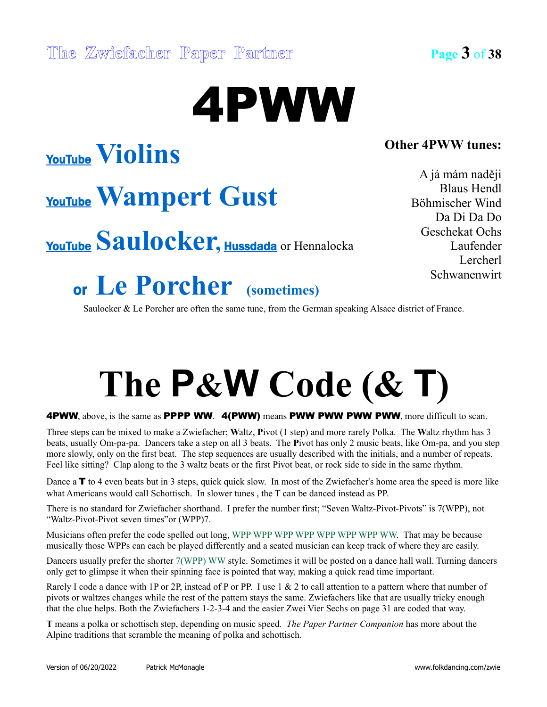**Other 4PWW tunes:**

A já mám naději Blaus Hendl Böhmischer Wind Da Di Da Do Geschekat Ochs Laufender Lercherl Schwanenwirt

[YouTube](http://www.youtube.com/watch?v=7cX_8iJ-tvI) **Violins**

### [YouTube](http://www.youtube.com/watch?v=53o9156ws8Y)**Wampert Gust**

[YouTube](http://www.youtube.com/watch?v=dtsyUkZJFQc) Saulocker, **[Hussdada](https://www.youtube.com/watch?v=EUdOdhPlb_k)** or Hennalocka

### or **Le Porcher (sometimes)**

Saulocker & Le Porcher are often the same tune, from the German speaking Alsace district of France.

4PWW

## **The P&W Code (& T)**

4PWW, above, is the same as PPPP WW. 4(PWW) means PWW PWW PWW PWW, more difficult to scan.

Three steps can be mixed to make a Zwiefacher; **W**altz, **P**ivot (1 step) and more rarely Polka. The **W**altz rhythm has 3 beats, usually Om-pa-pa. Dancers take a step on all 3 beats. The **P**ivot has only 2 music beats, like Om-pa, and you step more slowly, only on the first beat. The step sequences are usually described with the initials, and a number of repeats. Feel like sitting? Clap along to the 3 waltz beats or the first Pivot beat, or rock side to side in the same rhythm.

Dance a **T** to 4 even beats but in 3 steps, quick quick slow. In most of the Zwiefacher's home area the speed is more like what Americans would call Schottisch. In slower tunes , the T can be danced instead as PP.

There is no standard for Zwiefacher shorthand. I prefer the number first; "Seven Waltz-Pivot-Pivots" is 7(WPP), not "Waltz-Pivot-Pivot seven times"or (WPP)7.

Musicians often prefer the code spelled out long, WPP WPP WPP WPP WPP WPP WPP WW. That may be because musically those WPPs can each be played differently and a seated musician can keep track of where they are easily.

Dancers usually prefer the shorter 7(WPP) WW style. Sometimes it will be posted on a dance hall wall. Turning dancers only get to glimpse it when their spinning face is pointed that way, making a quick read time important.

Rarely I code a dance with 1P or 2P, instead of P or PP. I use 1 & 2 to call attention to a pattern where that number of pivots or waltzes changes while the rest of the pattern stays the same. Zwiefachers like that are usually tricky enough that the clue helps. Both the Zwiefachers 1-2-3-4 and the easier Zwei Vier Sechs on page 31 are coded that way.

**T** means a polka or schottisch step, depending on music speed. *The Paper Partner Companion* has more about the Alpine traditions that scramble the meaning of polka and schottisch.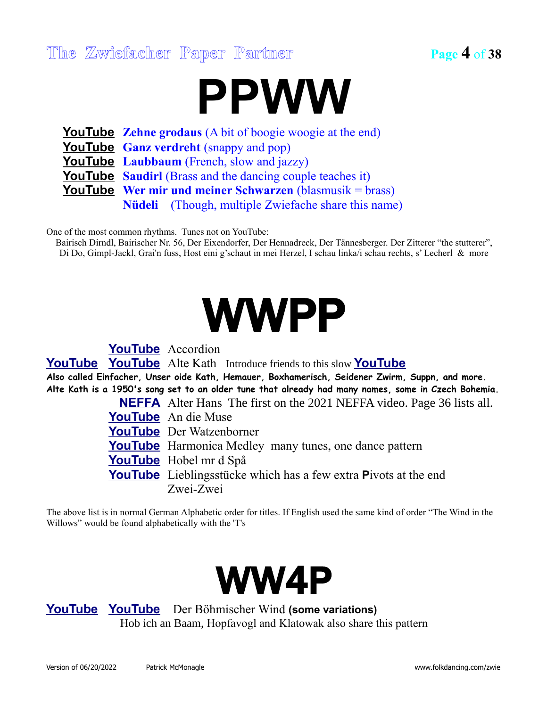#### **The Zwiefacher Paper Partner Page 4** of **38**



**[YouTube](http://www.youtube.com/watch?v=rjUkbpYMTAA) Zehne grodaus** (A bit of boogie woogie at the end) **[YouTube](https://www.youtube.com/watch?v=LviY_Uyuhno) Ganz verdreht** (snappy and pop) **[YouTube](https://www.youtube.com/watch?v=IvZbu61i_nU) Laubbaum** (French, slow and jazzy) **<u>[YouTube](https://youtu.be/UaorCv2LhNI?t=1073)</u>** Saudirl (Brass and the dancing couple teaches it) **<u>[YouTube](http://www.youtube.com/watch?v=Qf50w7c9cpM)</u>** Wer mir und meiner Schwarzen (blasmusik = brass) **Nüdeli** (Though, multiple Zwiefache share this name)

One of the most common rhythms. Tunes not on YouTube:

Bairisch Dirndl, Bairischer Nr. 56, Der Eixendorfer, Der Hennadreck, Der Tännesberger. Der Zitterer "the stutterer", Di Do, Gimpl-Jackl, Grai'n fuss, Host eini g'schaut in mei Herzel, I schau linka/i schau rechts, s' Lecherl & more



**[YouTube](http://www.youtube.com/watch?v=1w33Bcxsgd8)** Accordion **[YouTube](https://www.youtube.com/watch?v=-09DRKN0frE) [YouTube](https://www.youtube.com/watch?v=2SM8WL9Q_BE)** Alte Kath Introduce friends to this slow **[YouTube](https://www.youtube.com/watch?v=YOb-ndbedco) Also called Einfacher, Unser oide Kath, Hemauer, Boxhamerisch, Seidener Zwirm, Suppn, and more. Alte Kath is a 1950's song set to an older tune that already had many names, some in Czech Bohemia. [NEFFA](https://vimeopro.com/newenglandfolk/neffa-2021-zoom-recordings/video/546926810)** Alter Hans The first on the 2021 NEFFA video. Page 36 lists all. **[YouTube](http://www.youtube.com/watch?v=Hlp05T7crR8)** An die Muse **[YouTube](http://www.youtube.com/watch?v=XWLdznmcOgo)** Der Watzenborner **[YouTube](http://www.youtube.com/watch?v=BGOq8A3uhHE)** Harmonica Medley many tunes, one dance pattern **[YouTube](https://www.youtube.com/watch?v=W8YyD0_b8bE)** Hobel mr d Spå

**[YouTube](http://www.youtube.com/watch?v=affrcPLH6aQ)** Lieblingsstücke which has a few extra Pivots at the end Zwei-Zwei

The above list is in normal German Alphabetic order for titles. If English used the same kind of order "The Wind in the Willows" would be found alphabetically with the 'T's



**[YouTube](http://www.youtube.com/watch?&v=FHhCL7-fXh8) [YouTube](https://youtu.be/FHhCL7-fXh8)** Der Böhmischer Wind **(some variations)** Hob ich an Baam, Hopfavogl and Klatowak also share this pattern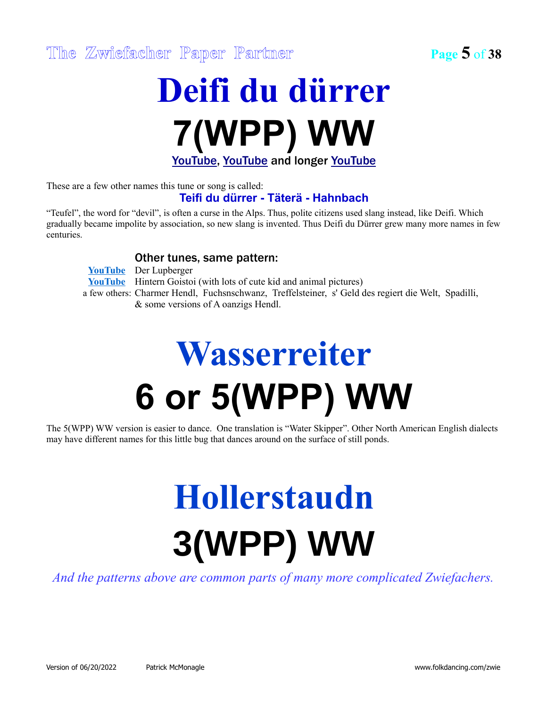### **Deifi du dürrer 7(WPP) WW** [YouTube,](http://www.youtube.com/watch?v=UBgVKjt9gGg) [YouTube](http://www.youtube.com/watch?v=3twF-jkczE8) and longer [YouTube](http://www.youtube.com/watch?v=tOqRe48ljmU)

These are a few other names this tune or song is called:

#### **Teifi du dürrer - Täterä - Hahnbach**

"Teufel", the word for "devil", is often a curse in the Alps. Thus, polite citizens used slang instead, like Deifi. Which gradually became impolite by association, so new slang is invented. Thus Deifi du Dürrer grew many more names in few centuries.

#### Other tunes, same pattern:

|  | <b>YouTube</b> Der Lupberger                                                                        |
|--|-----------------------------------------------------------------------------------------------------|
|  | <b>YouTube</b> Hintern Goistoi (with lots of cute kid and animal pictures)                          |
|  | a few others: Charmer Hendl, Fuchsnschwanz, Treffelsteiner, s' Geld des regiert die Welt, Spadilli, |
|  | & some versions of A oanzigs Hendl.                                                                 |

## **Wasserreiter 6 or 5(WPP) WW**

The 5(WPP) WW version is easier to dance. One translation is "Water Skipper". Other North American English dialects may have different names for this little bug that dances around on the surface of still ponds.

## **Hollerstaudn 3(WPP) WW**

*And the patterns above are common parts of many more complicated Zwiefachers.*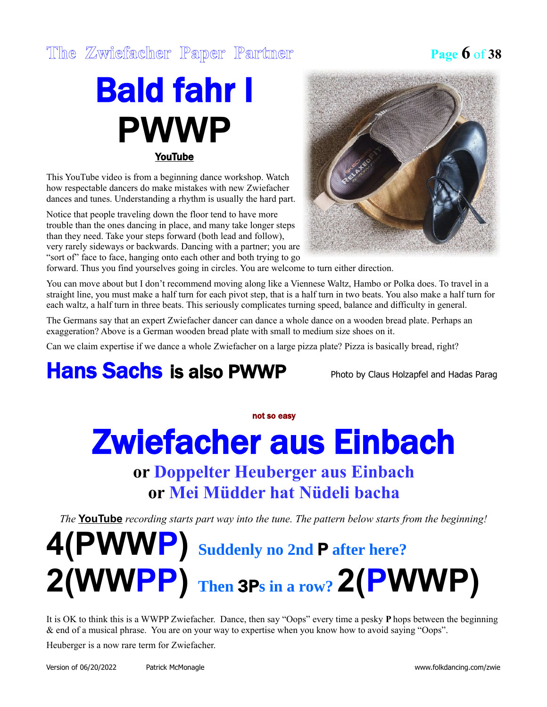#### **The Zwiefacher Paper Partner Page 6** of **38**

### Bald fahr I **PWWP** [YouTube](https://www.youtube.com/watch?v=TxTJBSzXee0)

This YouTube video is from a beginning dance workshop. Watch how respectable dancers do make mistakes with new Zwiefacher dances and tunes. Understanding a rhythm is usually the hard part.

Notice that people traveling down the floor tend to have more trouble than the ones dancing in place, and many take longer steps than they need. Take your steps forward (both lead and follow), very rarely sideways or backwards. Dancing with a partner; you are "sort of" face to face, hanging onto each other and both trying to go



forward. Thus you find yourselves going in circles. You are welcome to turn either direction.

You can move about but I don't recommend moving along like a Viennese Waltz, Hambo or Polka does. To travel in a straight line, you must make a half turn for each pivot step, that is a half turn in two beats. You also make a half turn for each waltz, a half turn in three beats. This seriously complicates turning speed, balance and difficulty in general.

The Germans say that an expert Zwiefacher dancer can dance a whole dance on a wooden bread plate. Perhaps an exaggeration? Above is a German wooden bread plate with small to medium size shoes on it.

Can we claim expertise if we dance a whole Zwiefacher on a large pizza plate? Pizza is basically bread, right?

#### **Hans Sachs is also PWWP** Photo by Claus Holzapfel and Hadas Parag

#### not so easy

## Zwiefacher aus Einbach

**or Doppelter Heuberger aus Einbach or Mei Müdder hat Nüdeli bacha**

*The* **[YouTube](http://www.youtube.com/watch?v=g8Nz3afjM1E)** *recording starts part way into the tune. The pattern below starts from the beginning!*

## **4(PWWP) Suddenly no 2nd** P **after here? 2(WWPP) Then** 3P**s in a row? 2(PWWP)**

It is OK to think this is a WWPP Zwiefacher. Dance, then say "Oops" every time a pesky **P** hops between the beginning & end of a musical phrase. You are on your way to expertise when you know how to avoid saying "Oops".

Heuberger is a now rare term for Zwiefacher.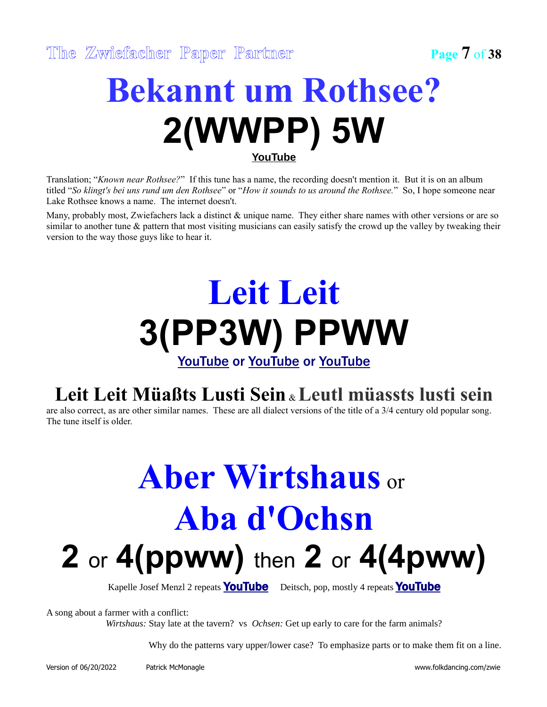### **Bekannt um Rothsee? 2(WWPP) 5W [YouTube](https://www.youtube.com/watch?v=9oYXkWM11vk)**

Translation; "*Known near Rothsee?*" If this tune has a name, the recording doesn't mention it. But it is on an album titled "*So klingt's bei uns rund um den Rothsee*" or "*How it sounds to us around the Rothsee.*" So, I hope someone near Lake Rothsee knows a name. The internet doesn't.

Many, probably most, Zwiefachers lack a distinct & unique name. They either share names with other versions or are so similar to another tune & pattern that most visiting musicians can easily satisfy the crowd up the valley by tweaking their version to the way those guys like to hear it.

## **Leit Leit 3(PP3W) PPWW**

[YouTube](http://www.youtube.com/watch?v=GGSe082vyGE) or [YouTube](https://www.youtube.com/watch?v=3Wv2AEoYOAw) or [YouTube](https://www.youtube.com/watch?v=QmCqqGFnbZU)

#### **Leit Leit Müaßts Lusti Sein** & **Leutl müassts lusti sein**

are also correct, as are other similar names. These are all dialect versions of the title of a 3/4 century old popular song. The tune itself is older.

## **Aber Wirtshaus** or **Aba d'Ochsn 2** or **4(ppww)** then **2** or **4(4pww)**

Kapelle Josef Menzl 2 repeats **[YouTube](http://www.youtube.com/watch?v=xg05IrMxS3E)** Deitsch, pop, mostly 4 repeats **YouTube** 

A song about a farmer with a conflict:

*Wirtshaus:* Stay late at the tavern? vs *Ochsen:* Get up early to care for the farm animals?

Why do the patterns vary upper/lower case? To emphasize parts or to make them fit on a line.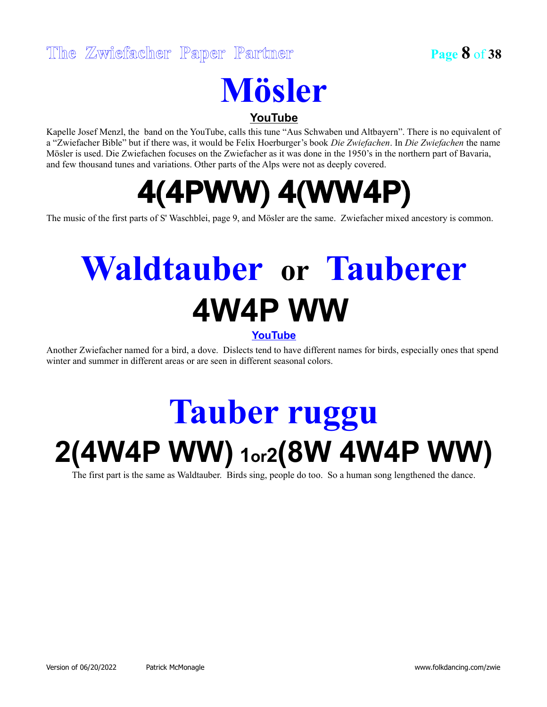## **Mösler**

**[YouTube](http://www.youtube.com/watch?v=OUND5TYJsfk)**

Kapelle Josef Menzl, the band on the YouTube, calls this tune "Aus Schwaben und Altbayern". There is no equivalent of a "Zwiefacher Bible" but if there was, it would be Felix Hoerburger's book *Die Zwiefachen*. In *Die Zwiefachen* the name Mösler is used. Die Zwiefachen focuses on the Zwiefacher as it was done in the 1950's in the northern part of Bavaria, and few thousand tunes and variations. Other parts of the Alps were not as deeply covered.

### 4(4PWW) 4(WW4P)

The music of the first parts of S' Waschblei, page 9, and Mösler are the same. Zwiefacher mixed ancestory is common.

## **Waldtauber or Tauberer 4W4P WW**

#### **[YouTube](http://www.youtube.com/watch?v=MS3gPwZff68)**

Another Zwiefacher named for a bird, a dove. Dislects tend to have different names for birds, especially ones that spend winter and summer in different areas or are seen in different seasonal colors.

## **Tauber ruggu 2(4W4P WW)<sup>1</sup>or<sup>2</sup>(8W 4W4P WW)**

The first part is the same as Waldtauber. Birds sing, people do too. So a human song lengthened the dance.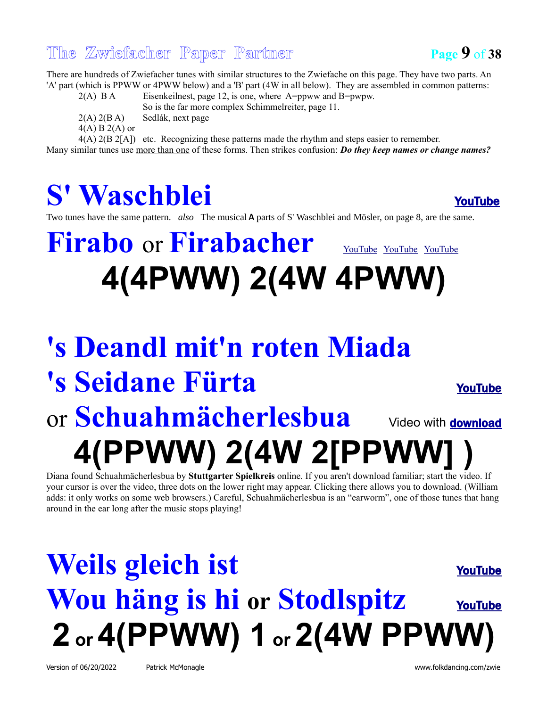#### **The Zwiefacher Paper Partner Page 9** of **38**



There are hundreds of Zwiefacher tunes with similar structures to the Zwiefache on this page. They have two parts. An 'A' part (which is PPWW or 4PWW below) and a 'B' part (4W in all below). They are assembled in common patterns:

2(A) B A Eisenkeilnest, page 12, is one, where A=ppww and B=pwpw. So is the far more complex Schimmelreiter, page 11.  $2(A)$   $2(B A)$  Sedlák, next page  $4(A) B 2(A)$  or 4(A) 2(B 2[A]) etc. Recognizing these patterns made the rhythm and steps easier to remember.

Many similar tunes use more than one of these forms. Then strikes confusion: *Do they keep names or change names?*

### S' Waschblei [YouTube](http://www.youtube.com/watch?v=2CKH7U2yKyI)

Two tunes have the same pattern. *also* The musical A parts of S' Waschblei and Mösler, on page 8, are the same.

### **Firabo** or **Firabacher** [YouTube](http://www.youtube.com/watch?v=-49d5Y512xQ) YouTube YouTube **4(4PWW) 2(4W 4PWW)**

### **'s Deandl mit'n roten Miada 's Seidane Fürta** [YouTube](http://www.youtube.com/watch?v=PFxtStNtnQ4) Or **Schuahmächerlesbua** Video with [download](https://ssk.volkstanz.com/) **4(PPWW) 2(4W 2[PPWW] )**

Diana found Schuahmächerlesbua by **Stuttgarter Spielkreis** online. If you aren't download familiar; start the video. If your cursor is over the video, three dots on the lower right may appear. Clicking there allows you to download. (William adds: it only works on some web browsers.) Careful, Schuahmächerlesbua is an "earworm", one of those tunes that hang around in the ear long after the music stops playing!

## **Weils gleich ist** [YouTube](http://www.youtube.com/watch?v=ryYZtNGn978) **Wou häng is hi or Stodlspitz** [YouTube](http://www.youtube.com/watch?v=LT79ZdTezVM) **2 or 4(PPWW) 1 or 2(4W PPWW)**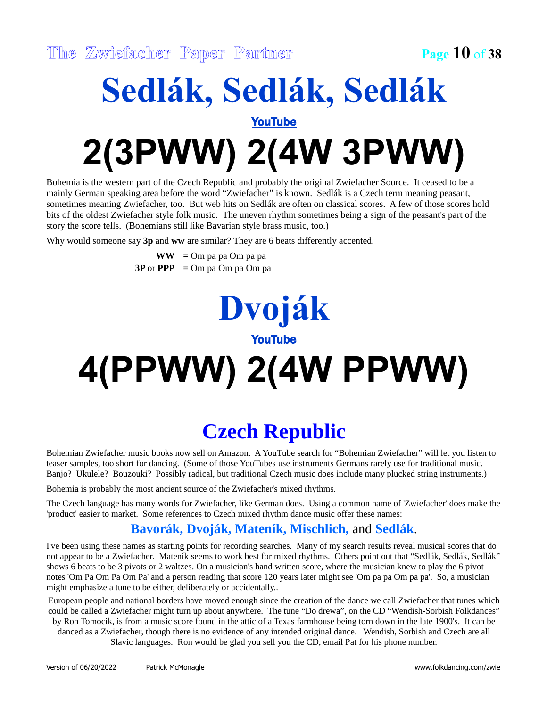### **Sedlák, Sedlák, Sedlák** [YouTube](http://www.youtube.com/watch?v=IVsJzGP5Rwo) **2(3PWW) 2(4W 3PWW)**

Bohemia is the western part of the Czech Republic and probably the original Zwiefacher Source. It ceased to be a mainly German speaking area before the word "Zwiefacher" is known. Sedlák is a Czech term meaning peasant, sometimes meaning Zwiefacher, too. But web hits on Sedlák are often on classical scores. A few of those scores hold bits of the oldest Zwiefacher style folk music. The uneven rhythm sometimes being a sign of the peasant's part of the story the score tells. (Bohemians still like Bavarian style brass music, too.)

Why would someone say **3p** and **ww** are similar? They are 6 beats differently accented.

**WW =** Om pa pa Om pa pa **3P** or **PPP =** Om pa Om pa Om pa

### **Dvoják** [YouTube](http://www.youtube.com/watch?v=szpIVdjQmJo)

# **4(PPWW) 2(4W PPWW)**

#### **Czech Republic**

Bohemian Zwiefacher music books now sell on Amazon. A YouTube search for "Bohemian Zwiefacher" will let you listen to teaser samples, too short for dancing. (Some of those YouTubes use instruments Germans rarely use for traditional music. Banjo? Ukulele? Bouzouki? Possibly radical, but traditional Czech music does include many plucked string instruments.)

Bohemia is probably the most ancient source of the Zwiefacher's mixed rhythms.

The Czech language has many words for Zwiefacher, like German does. Using a common name of 'Zwiefacher' does make the 'product' easier to market. Some references to Czech mixed rhythm dance music offer these names:

#### **Bavorák, Dvoják, Mateník, Mischlich,** and **Sedlák**.

I've been using these names as starting points for recording searches. Many of my search results reveal musical scores that do not appear to be a Zwiefacher. Mateník seems to work best for mixed rhythms. Others point out that "Sedlák, Sedlák, Sedlák" shows 6 beats to be 3 pivots or 2 waltzes. On a musician's hand written score, where the musician knew to play the 6 pivot notes 'Om Pa Om Pa Om Pa' and a person reading that score 120 years later might see 'Om pa pa Om pa pa'. So, a musician might emphasize a tune to be either, deliberately or accidentally..

European people and national borders have moved enough since the creation of the dance we call Zwiefacher that tunes which could be called a Zwiefacher might turn up about anywhere. The tune "Do drewa", on the CD "Wendish-Sorbish Folkdances" by Ron Tomocik, is from a music score found in the attic of a Texas farmhouse being torn down in the late 1900's. It can be danced as a Zwiefacher, though there is no evidence of any intended original dance. Wendish, Sorbish and Czech are all Slavic languages. Ron would be glad you sell you the CD, email Pat for his phone number.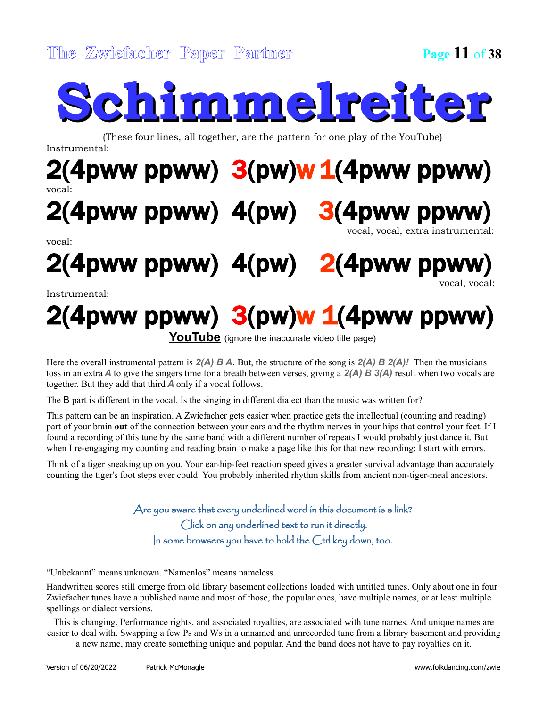# **Schimmelreiter**

(These four lines, all together, are the pattern for one play of the YouTube)

Instrumental:

#### $2(4)$ pww ppww)  $3(pw)w1(4)$ pww ppww) vocal:

### 2(4pww ppww) 4(pw) 3(4pww ppww)

vocal:

vocal, vocal, extra instrumental:

2(4pww ppww) 4(pw) 2(4pww ppww) vocal, vocal:

#### Instrumental:

## $2(4)$ pww ppww)  $3(pw)w 1(4)$ pww ppww)

**[YouTube](https://www.youtube.com/watch?v=IyeacrF1EGs)** (ignore the inaccurate video title page)

Here the overall instrumental pattern is *2(A) B A*. But, the structure of the song is *2(A) B 2(A)!* Then the musicians toss in an extra *A* to give the singers time for a breath between verses, giving a *2(A) B 3(A)* result when two vocals are together. But they add that third *A* only if a vocal follows.

The B part is different in the vocal. Is the singing in different dialect than the music was written for?

This pattern can be an inspiration. A Zwiefacher gets easier when practice gets the intellectual (counting and reading) part of your brain **out** of the connection between your ears and the rhythm nerves in your hips that control your feet. If I found a recording of this tune by the same band with a different number of repeats I would probably just dance it. But when I re-engaging my counting and reading brain to make a page like this for that new recording; I start with errors.

Think of a tiger sneaking up on you. Your ear-hip-feet reaction speed gives a greater survival advantage than accurately counting the tiger's foot steps ever could. You probably inherited rhythm skills from ancient non-tiger-meal ancestors.

> Are you aware that every underlined word in this document is a link? Click on any underlined text to run it directly. In some browsers you have to hold the Ctrl key down, too.

"Unbekannt" means unknown. "Namenlos" means nameless.

Handwritten scores still emerge from old library basement collections loaded with untitled tunes. Only about one in four Zwiefacher tunes have a published name and most of those, the popular ones, have multiple names, or at least multiple spellings or dialect versions.

This is changing. Performance rights, and associated royalties, are associated with tune names. And unique names are easier to deal with. Swapping a few Ps and Ws in a unnamed and unrecorded tune from a library basement and providing a new name, may create something unique and popular. And the band does not have to pay royalties on it.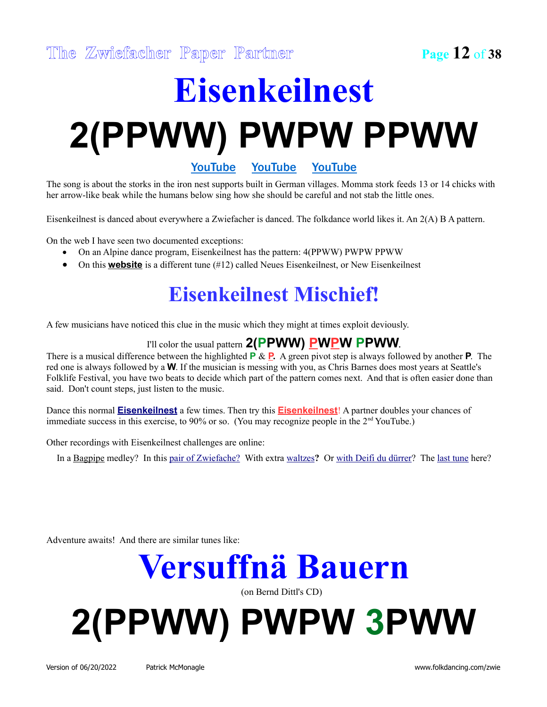# **Eisenkeilnest 2(PPWW) PWPW PPWW**

[YouTube](http://www.youtube.com/watch?v=QgNJZhrvFj8) [YouTube](https://www.youtube.com/watch?v=o17yoCKv4mY) [YouTube](http://www.youtube.com/watch?v=o17yoCKv4mY)

The song is about the storks in the iron nest supports built in German villages. Momma stork feeds 13 or 14 chicks with her arrow-like beak while the humans below sing how she should be careful and not stab the little ones.

Eisenkeilnest is danced about everywhere a Zwiefacher is danced. The folkdance world likes it. An 2(A) B A pattern.

On the web I have seen two documented exceptions:

- On an Alpine dance program, Eisenkeilnest has the pattern: 4(PPWW) PWPW PPWW
- On this **[website](http://www.volksmusikfreunde.de/noten/download.php?k=15)** is a different tune (#12) called Neues Eisenkeilnest, or New Eisenkeilnest

#### **Eisenkeilnest Mischief!**

A few musicians have noticed this clue in the music which they might at times exploit deviously.

I'll color the usual pattern 2(PPWW) PWPW PPWW.

There is a musical difference between the highlighted **P** & **P.** A green pivot step is always followed by another **P**. The red one is always followed by a **W**. If the musician is messing with you, as Chris Barnes does most years at Seattle's Folklife Festival, you have two beats to decide which part of the pattern comes next. And that is often easier done than said. Don't count steps, just listen to the music.

Dance this normal **[Eisenkeilnest](https://www.youtube.com/watch?v=QgNJZhrvFj8)** a few times. Then try this **[Eisenkeilnest](https://www.youtube.com/watch?v=UeXIgjlwprQ)**! A partner doubles your chances of immediate success in this exercise, to 90% or so. (You may recognize people in the 2<sup>nd</sup> YouTube.)

Other recordings with Eisenkeilnest challenges are online:

In a [Bagpipe](http://www.youtube.com/watch?v=Yt4diuYDRuQ) medley? In this [pair of Zwiefache?](http://www.youtube.com/watch?v=Yt4diuYDRuQ)With extra [waltzes](http://www.youtube.com/watch?v=LswhHRobIhI)**?** Or [with Deifi du dürrer?](http://www.youtube.com/watch?v=o17yoCKv4mY) The [last tune](https://vimeopro.com/newenglandfolk/neffa-2021-zoom-recordings/video/546926810) here?

Adventure awaits! And there are similar tunes like:

**Versuffnä Bauern**

(on Bernd Dittl's CD)

# **2(PPWW) PWPW 3PWW**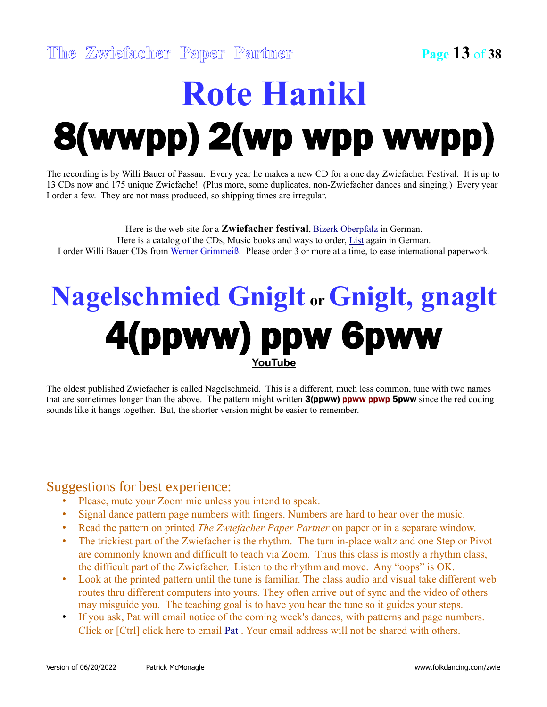## **Rote Hanikl** 8(wwpp) 2(wp wpp wwpp)

The recording is by Willi Bauer of Passau. Every year he makes a new CD for a one day Zwiefacher Festival. It is up to 13 CDs now and 175 unique Zwiefache! (Plus more, some duplicates, non-Zwiefacher dances and singing.) Every year I order a few. They are not mass produced, so shipping times are irregular.

Here is the web site for a **Zwiefacher festival**, **Bizerk Oberpfalz** in German. Here is a catalog of the CDs, Music books and ways to order, [List](https://www.bairisch-landlerisch.de/wp-content/uploads/2020/05/Zwiefachen-CDs-WG.pdf) again in German. I order Willi Bauer CDs from [Werner Grimmeiß.](mailto:wernergri@web.de) Please order 3 or more at a time, to ease international paperwork.

### **Nagelschmied Gniglt or Gniglt, gnaglt** 4(ppww) ppw 6pww **[YouTube](https://www.youtube.com/watch?v=h8dHddjZ9Z8)**

The oldest published Zwiefacher is called Nagelschmeid. This is a different, much less common, tune with two names that are sometimes longer than the above. The pattern might written 3(ppww) ppww ppwp 5pww since the red coding sounds like it hangs together. But, the shorter version might be easier to remember.

#### Suggestions for best experience:

- Please, mute your Zoom mic unless you intend to speak.
- Signal dance pattern page numbers with fingers. Numbers are hard to hear over the music.
- Read the pattern on printed *The Zwiefacher Paper Partner* on paper or in a separate window.
- The trickiest part of the Zwiefacher is the rhythm. The turn in-place waltz and one Step or Pivot are commonly known and difficult to teach via Zoom. Thus this class is mostly a rhythm class, the difficult part of the Zwiefacher. Listen to the rhythm and move. Any "oops" is OK.
- Look at the printed pattern until the tune is familiar. The class audio and visual take different web routes thru different computers into yours. They often arrive out of sync and the video of others may misguide you. The teaching goal is to have you hear the tune so it guides your steps.
- If you ask, Pat will email notice of the coming week's dances, with patterns and page numbers. Click or [Ctrl] click here to email **Pat** . Your email address will not be shared with others.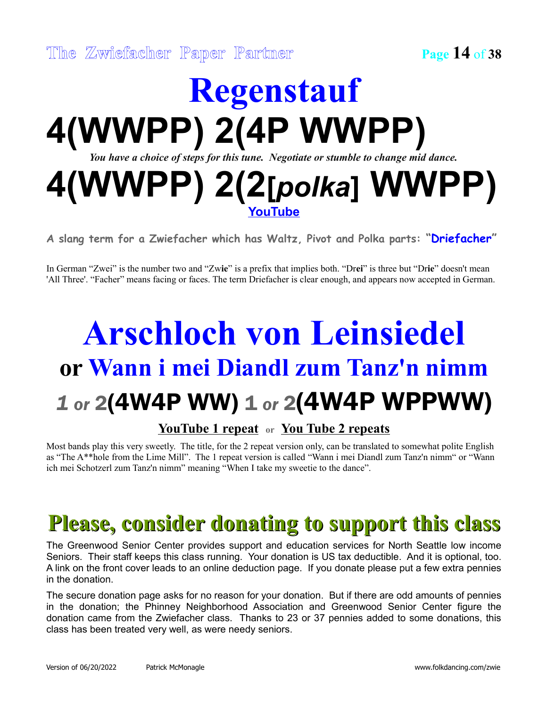### **Regenstauf 4(WWPP) 2(4P WWPP)** *You have a choice of steps for this tune. Negotiate or stumble to change mid dance.* **4(WWPP) 2(2[***polka***] WWPP) [YouTube](http://www.youtube.com/watch?v=9rzoHq2EB3M)**

**A slang term for a Zwiefacher which has Waltz, Pivot and Polka parts: "Driefacher"**

In German "Zwei" is the number two and "Zw**ie**" is a prefix that implies both. "Dr**ei**" is three but "Dr**ie**" doesn't mean 'All Three'. "Facher" means facing or faces. The term Driefacher is clear enough, and appears now accepted in German.

## **Arschloch von Leinsiedel or Wann i mei Diandl zum Tanz'n nimm** *1 or* 2(4W4P WW) 1 *or* 2(4W4P WPPWW)

#### **[YouTube 1 repeat](http://www.youtube.com/watch?v=fkL9WxF7tp8) or [You Tube 2 repeats](http://www.youtube.com/watch?v=fkL9WxF7tp8)**

Most bands play this very sweetly. The title, for the 2 repeat version only, can be translated to somewhat polite English as "The A\*\*hole from the Lime Mill". The 1 repeat version is called "Wann i mei Diandl zum Tanz'n nimm" or "Wann ich mei Schotzerl zum Tanz'n nimm" meaning "When I take my sweetie to the dance".

### **Please, consider donating to support this class**

The Greenwood Senior Center provides support and education services for North Seattle low income Seniors. Their staff keeps this class running. Your donation is US tax deductible. And it is optional, too. A link on the front cover leads to an online deduction page. If you donate please put a few extra pennies in the donation.

The secure donation page asks for no reason for your donation. But if there are odd amounts of pennies in the donation; the Phinney Neighborhood Association and Greenwood Senior Center figure the donation came from the Zwiefacher class. Thanks to 23 or 37 pennies added to some donations, this class has been treated very well, as were needy seniors.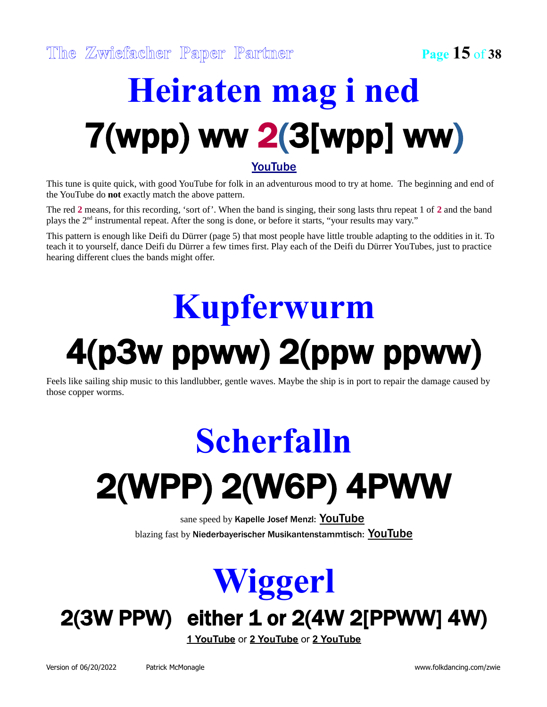# **Heiraten mag i ned** 7(wpp) ww 2(3[wpp] ww)

#### [YouTube](http://www.youtube.com/watch?v=BKd2AsPvEw4)

This tune is quite quick, with good YouTube for folk in an adventurous mood to try at home. The beginning and end of the YouTube do **not** exactly match the above pattern.

The red **2** means, for this recording, 'sort of'. When the band is singing, their song lasts thru repeat 1 of **2** and the band plays the 2nd instrumental repeat. After the song is done, or before it starts, "your results may vary."

This pattern is enough like Deifi du Dürrer (page 5) that most people have little trouble adapting to the oddities in it. To teach it to yourself, dance Deifi du Dürrer a few times first. Play each of the Deifi du Dürrer YouTubes, just to practice hearing different clues the bands might offer.

## **Kupferwurm**

## 4(p3w ppww) 2(ppw ppww)

Feels like sailing ship music to this landlubber, gentle waves. Maybe the ship is in port to repair the damage caused by those copper worms.

# **Scherfalln** 2(WPP) 2(W6P) 4PWW

sane speed by Kapelle Josef Menzl: [YouTube](http://www.youtube.com/watch?v=2NleR9dn5Qw) blazing fast by Niederbayerischer Musikantenstammtisch: [YouTube](http://www.youtube.com/watch?v=d-b27X2d5co)



### 2(3W PPW) either 1 or 2(4W 2[PPWW] 4W)

**[1 YouTube](http://www.youtube.com/watch?v=jcpwiW25_5s)** or **[2 YouTube](http://www.youtube.com/watch?v=8o18RY-7IVA)** or **[2 YouTube](http://www.youtube.com/watch?v=HGWibZqRvPA)**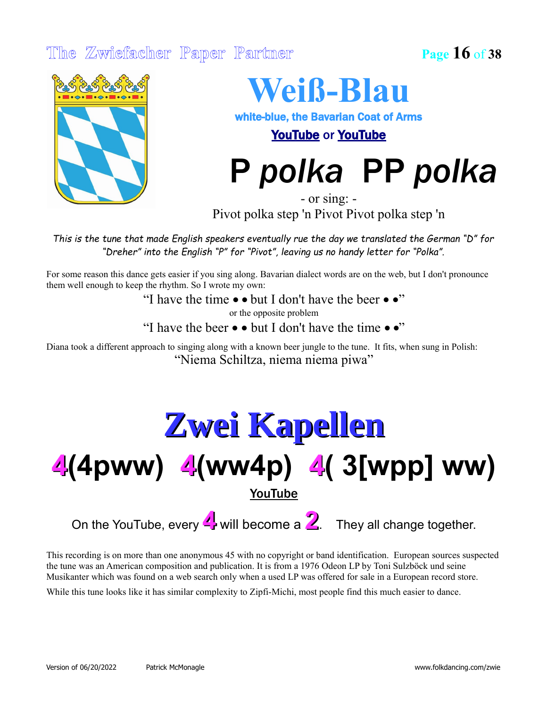#### **The Zwiefacher Paper Partner Page 16** of **38**



### **Weiß-Blau**

white-blue, the Bavarian Coat of Arms

[YouTube](http://www.youtube.com/watch?v=cj8OL97fdaM) or [YouTube](https://youtu.be/UaorCv2LhNI?t=1863)

P *polka* PP *polka*

- or sing: - Pivot polka step 'n Pivot Pivot polka step 'n

*This is the tune that made English speakers eventually rue the day we translated the German "D" for "Dreher" into the English "P" for "Pivot", leaving us no handy letter for "Polka".*

For some reason this dance gets easier if you sing along. Bavarian dialect words are on the web, but I don't pronounce them well enough to keep the rhythm. So I wrote my own:

"I have the time  $\bullet \bullet$  but I don't have the beer  $\bullet \bullet$ "

or the opposite problem

"I have the beer  $\bullet \bullet$  but I don't have the time  $\bullet \bullet$ "

Diana took a different approach to singing along with a known beer jungle to the tune. It fits, when sung in Polish: "Niema Schiltza, niema niema piwa"

### **Zwei Kapellen 4(4pww) 4(ww4p) 4( 3[wpp] ww) [YouTube](http://www.youtube.com/watch?v=FGJHVS7075s)**

On the YouTube, every **4** will become a **2**. They all change together.

This recording is on more than one anonymous 45 with no copyright or band identification. European sources suspected the tune was an American composition and publication. It is from a 1976 Odeon LP by Toni Sulzböck und seine Musikanter which was found on a web search only when a used LP was offered for sale in a European record store.

While this tune looks like it has similar complexity to Zipfi-Michi, most people find this much easier to dance.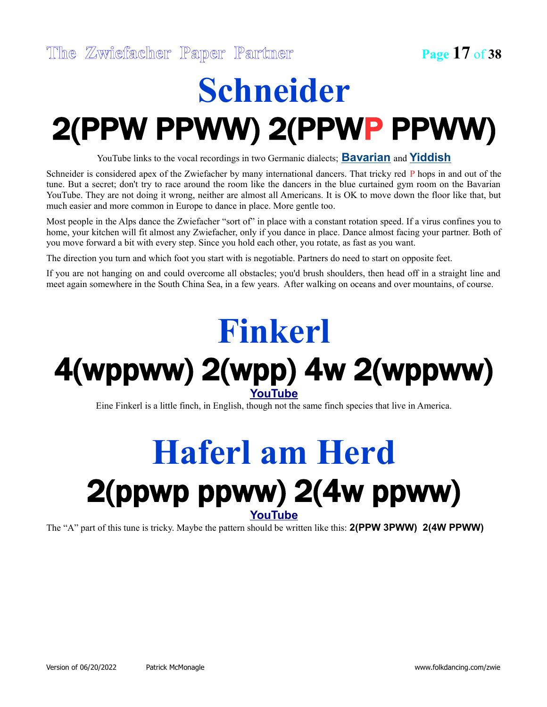## **Schneider** 2(PPW PPWW) 2(PPWP PPWW)

YouTube links to the vocal recordings in two Germanic dialects; **[Bavarian](http://www.youtube.com/watch?v=HZ1U6UFKKW8)** and **[Yiddish](http://www.youtube.com/watch?v=arS8uZVOVnw)**

Schneider is considered apex of the Zwiefacher by many international dancers. That tricky red P hops in and out of the tune. But a secret; don't try to race around the room like the dancers in the blue curtained gym room on the Bavarian YouTube. They are not doing it wrong, neither are almost all Americans. It is OK to move down the floor like that, but much easier and more common in Europe to dance in place. More gentle too.

Most people in the Alps dance the Zwiefacher "sort of" in place with a constant rotation speed. If a virus confines you to home, your kitchen will fit almost any Zwiefacher, only if you dance in place. Dance almost facing your partner. Both of you move forward a bit with every step. Since you hold each other, you rotate, as fast as you want.

The direction you turn and which foot you start with is negotiable. Partners do need to start on opposite feet.

If you are not hanging on and could overcome all obstacles; you'd brush shoulders, then head off in a straight line and meet again somewhere in the South China Sea, in a few years. After walking on oceans and over mountains, of course.

### **Finkerl** 4(wppww) 2(wpp) 4w 2(wppww) **[YouTube](http://www.youtube.com/watch?v=406bk7VLnKg)**

Eine Finkerl is a little finch, in English, though not the same finch species that live in America.

### **Haferl am Herd** 2(ppwp ppww) 2(4w ppww) **[YouTube](http://www.youtube.com/watch?v=-6vT6yHLAEQ)**

The "A" part of this tune is tricky. Maybe the pattern should be written like this: **2(PPW 3PWW) 2(4W PPWW)**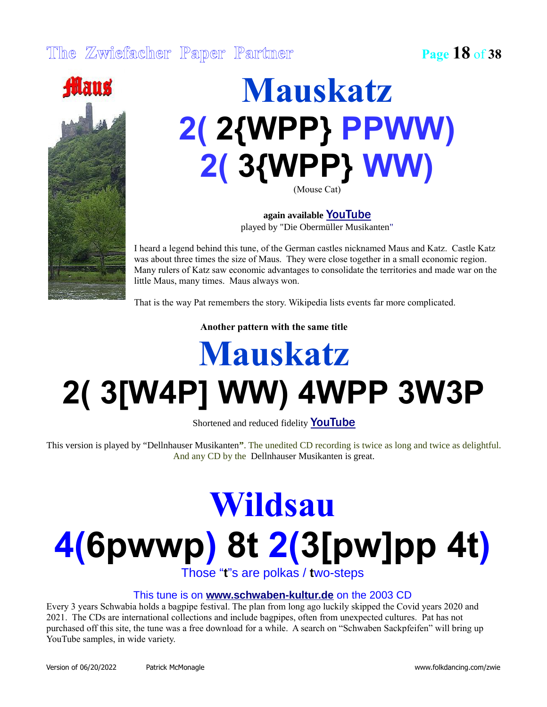

### **Mauskatz 2( 2{WPP} PPWW) 2( 3{WPP} WW)** (Mouse Cat)

**again available** [YouTube](http://www.youtube.com/watch?v=krnKvkVg0I0) played by "Die Obermüller Musikanten"

I heard a legend behind this tune, of the German castles nicknamed Maus and Katz. Castle Katz was about three times the size of Maus. They were close together in a small economic region. Many rulers of Katz saw economic advantages to consolidate the territories and made war on the little Maus, many times. Maus always won.

That is the way Pat remembers the story. Wikipedia lists events far more complicated.

**Another pattern with the same title**

## **Mauskatz 2( 3[W4P] WW) 4WPP 3W3P**

Shortened and reduced fidelity **[YouTube](https://www.youtube.com/watch?v=VA1J_tOyY38)** 

This version is played by "Dellnhauser Musikanten**"**. The unedited CD recording is twice as long and twice as delightful. And any CD by the Dellnhauser Musikanten is great.

## **Wildsau 4(6pwwp) 8t 2(3[pw]pp 4t)**

Those "**t**"s are polkas / **t**wo-steps

#### This tune is on **[www.schwaben-kultur.de](https://shop.schwaben-kultur.de/produkt-kategorie/traditionelle_musik_alben_zum_download/)** on the 2003 CD

Every 3 years Schwabia holds a bagpipe festival. The plan from long ago luckily skipped the Covid years 2020 and 2021. The CDs are international collections and include bagpipes, often from unexpected cultures. Pat has not purchased off this site, the tune was a free download for a while. A search on "Schwaben Sackpfeifen" will bring up YouTube samples, in wide variety.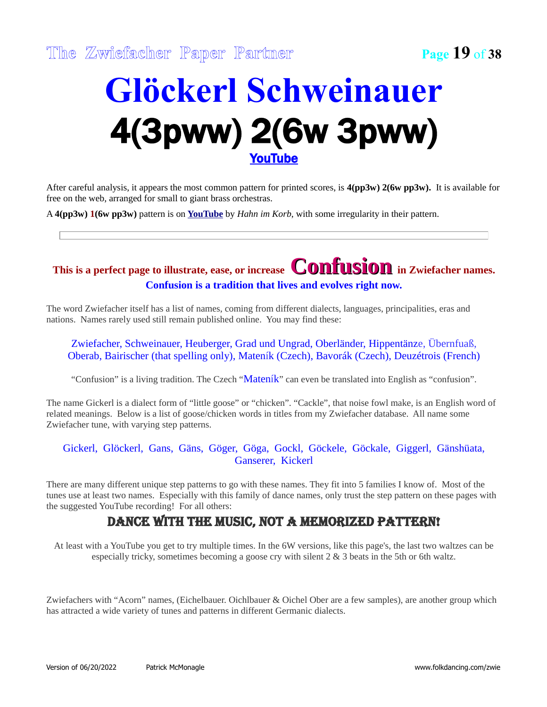### **Glöckerl Schweinauer** 4(3pww) 2(6w 3pww) [YouTube](http://www.youtube.com/watch?v=Wt_x5a010Ao)

After careful analysis, it appears the most common pattern for printed scores, is **4(pp3w) 2(6w pp3w).** It is available for free on the web, arranged for small to giant brass orchestras.

A **4(pp3w) 1(6w pp3w)** pattern is on **[YouTube](http://www.youtube.com/watch?v=-FUfGk5GL0o)** by *Hahn im Korb*, with some irregularity in their pattern.

#### **This is a perfect page to illustrate, ease, or increase Confusion in Zwiefacher names. Confusion is a tradition that lives and evolves right now.**

The word Zwiefacher itself has a list of names, coming from different dialects, languages, principalities, eras and nations. Names rarely used still remain published online. You may find these:

Zwiefacher, Schweinauer, Heuberger, Grad und Ungrad, Oberländer, Hippentänze, Übernfuaß, Oberab, Bairischer (that spelling only), Mateník (Czech), Bavorák (Czech), Deuzétrois (French)

"Confusion" is a living tradition. The Czech "Mateník" can even be translated into English as "confusion".

The name Gickerl is a dialect form of "little goose" or "chicken". "Cackle", that noise fowl make, is an English word of related meanings. Below is a list of goose/chicken words in titles from my Zwiefacher database. All name some Zwiefacher tune, with varying step patterns.

Gickerl, Glöckerl, Gans, Gäns, Göger, Göga, Gockl, Göckele, Göckale, Giggerl, Gänshüata, Ganserer, Kickerl

There are many different unique step patterns to go with these names. They fit into 5 families I know of. Most of the tunes use at least two names. Especially with this family of dance names, only trust the step pattern on these pages with the suggested YouTube recording! For all others:

#### Dance with the music, not a memorized pattern!

At least with a YouTube you get to try multiple times. In the 6W versions, like this page's, the last two waltzes can be especially tricky, sometimes becoming a goose cry with silent 2 & 3 beats in the 5th or 6th waltz.

Zwiefachers with "Acorn" names, (Eichelbauer. Oichlbauer & Oichel Ober are a few samples), are another group which has attracted a wide variety of tunes and patterns in different Germanic dialects.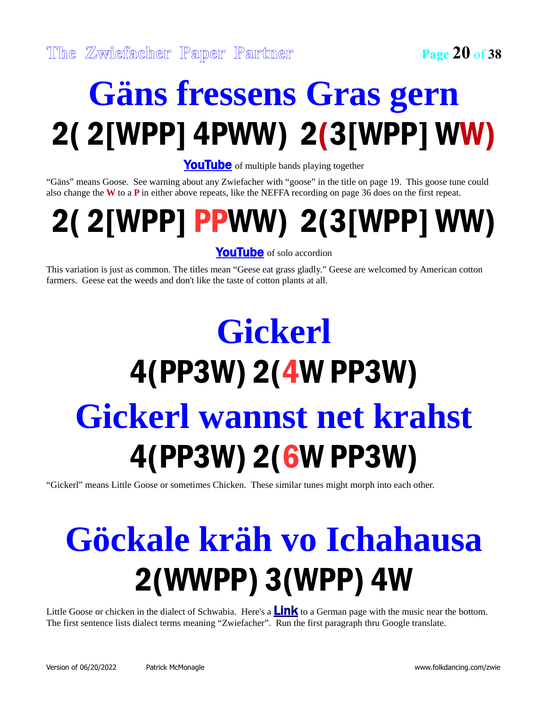## **Gäns fressens Gras gern** 2( 2[WPP] 4PWW) 2(3[WPP] WW)

[YouTube](http://www.youtube.com/watch?v=nLd1Noxyneo) of multiple bands playing together

"Gäns" means Goose. See warning about any Zwiefacher with "goose" in the title on page 19. This goose tune could also change the **W** to a **P** in either above repeats, like the NEFFA recording on page 36 does on the first repeat.

## 2( 2[WPP] PPWW) 2(3[WPP] WW)

[YouTube](http://www.youtube.com/watch?v=KEuzU3KHeio) of solo accordion

This variation is just as common. The titles mean "Geese eat grass gladly." Geese are welcomed by American cotton farmers. Geese eat the weeds and don't like the taste of cotton plants at all.

## **Gickerl** 4(PP3W) 2(4W PP3W) **Gickerl wannst net krahst** 4(PP3W) 2(6W PP3W)

"Gickerl" means Little Goose or sometimes Chicken. These similar tunes might morph into each other.

## **Göckale kräh vo Ichahausa** 2(WWPP) 3(WPP) 4W

Little Goose or chicken in the dialect of Schwabia. Here's a  $\frac{\text{Link}}{\text{to a German page}}$  $\frac{\text{Link}}{\text{to a German page}}$  $\frac{\text{Link}}{\text{to a German page}}$  with the music near the bottom. The first sentence lists dialect terms meaning "Zwiefacher". Run the first paragraph thru Google translate.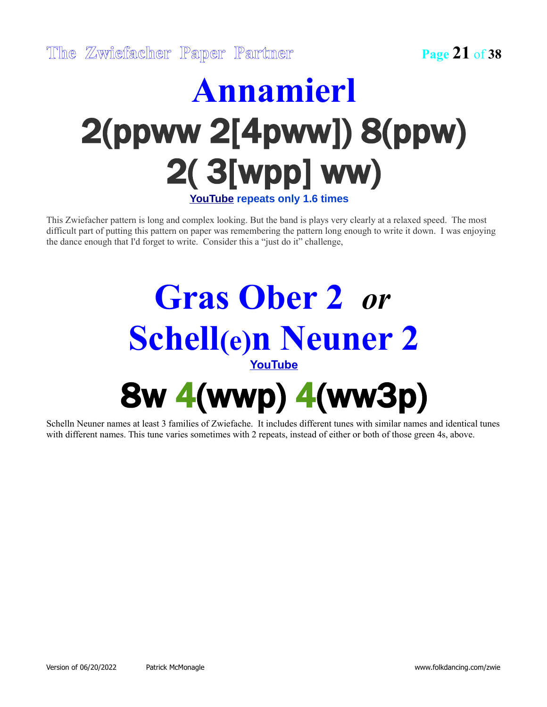### **Annamierl** 2(ppww 2[4pww]) 8(ppw) 2( 3[wpp] ww) **[YouTube](http://www.youtube.com/watch?v=h_dY8T9mEUs) repeats only 1.6 times**

This Zwiefacher pattern is long and complex looking. But the band is plays very clearly at a relaxed speed. The most difficult part of putting this pattern on paper was remembering the pattern long enough to write it down. I was enjoying the dance enough that I'd forget to write. Consider this a "just do it" challenge,

### **Gras Ober 2** *or* **Schell(e)n Neuner 2 [YouTube](http://www.youtube.com/watch?v=KzgcXmC4Hv4)** 8w 4(wwp) 4(ww3p)

Schelln Neuner names at least 3 families of Zwiefache. It includes different tunes with similar names and identical tunes with different names. This tune varies sometimes with 2 repeats, instead of either or both of those green 4s, above.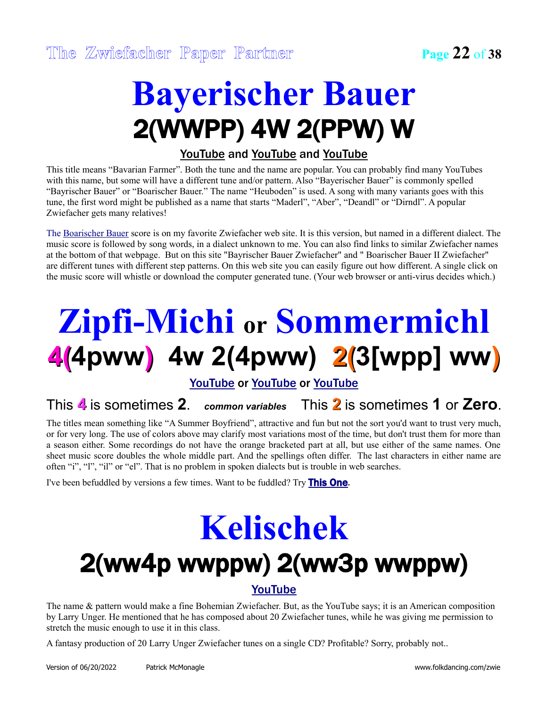### **Bayerischer Bauer** 2(WWPP) 4W 2(PPW) W

#### [YouTube](http://www.youtube.com/watch?v=BoYBkaRSzLw) and [YouTube](http://www.youtube.com/watch?v=sIJZvCKRp-M) and [YouTube](https://youtu.be/Jy2TelRAsZI?t=1486)

This title means "Bavarian Farmer". Both the tune and the name are popular. You can probably find many YouTubes with this name, but some will have a different tune and/or pattern. Also "Bayerischer Bauer" is commonly spelled "Bayrischer Bauer" or "Boarischer Bauer." The name "Heuboden" is used. A song with many variants goes with this tune, the first word might be published as a name that starts "Maderl", "Aber", "Deandl" or "Dirndl". A popular Zwiefacher gets many relatives!

The [Boarischer Bauer](https://www.stammtischmusik.at/noten/boarischerbauer.htm) score is on my favorite Zwiefacher web site. It is this version, but named in a different dialect. The music score is followed by song words, in a dialect unknown to me. You can also find links to similar Zwiefacher names at the bottom of that webpage. But on this site "Bayrischer Bauer Zwiefacher" and " Boarischer Bauer II Zwiefacher" are different tunes with different step patterns. On this web site you can easily figure out how different. A single click on the music score will whistle or download the computer generated tune. (Your web browser or anti-virus decides which.)

## **Zipfi-Michi or Sommermichl 4(4pww) 4w 2(4pww) 2(3[wpp] ww)**

[YouTube](http://www.youtube.com/watch?v=xttAB2NPvqY) or [YouTube](https://www.youtube.com/watch?v=vd7qJW4LBdk) or [YouTube](http://www.youtube.com/watch?v=OSeqAa4RYbI)

This **4** is sometimes **2**. *common variables* This **2** is sometimes **1** or **Zero**.

The titles mean something like "A Summer Boyfriend", attractive and fun but not the sort you'd want to trust very much, or for very long. The use of colors above may clarify most variations most of the time, but don't trust them for more than a season either. Some recordings do not have the orange bracketed part at all, but use either of the same names. One sheet music score doubles the whole middle part. And the spellings often differ. The last characters in either name are often "i", "l", "il" or "el". That is no problem in spoken dialects but is trouble in web searches.

I've been befuddled by versions a few times. Want to be fuddled? Try [This One](http://www.youtube.com/watch?v=gnUeh2TvYFs).

## **Kelischek** 2(ww4p wwppw) 2(ww3p wwppw)

#### [YouTube](http://www.youtube.com/watch?v=xttAB2NPvqY)

The name & pattern would make a fine Bohemian Zwiefacher. But, as the YouTube says; it is an American composition by Larry Unger. He mentioned that he has composed about 20 Zwiefacher tunes, while he was giving me permission to stretch the music enough to use it in this class.

A fantasy production of 20 Larry Unger Zwiefacher tunes on a single CD? Profitable? Sorry, probably not..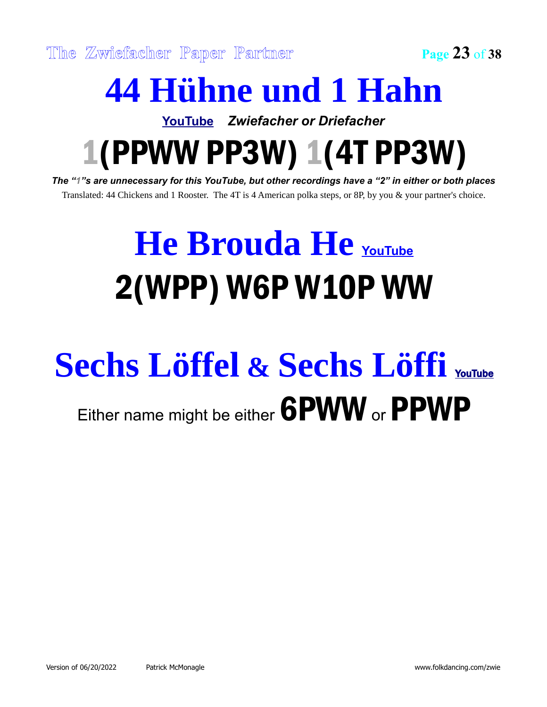## **44 Hühne und 1 Hahn**

**[YouTube](http://www.youtube.com/watch?v=n9DA_gJRHYY)** *Zwiefacher or Driefacher*

1(PPWW PP3W) 1(4T PP3W)

*The "1"s are unnecessary for this YouTube, but other recordings have a "2" in either or both places* Translated: 44 Chickens and 1 Rooster. The 4T is 4 American polka steps, or 8P, by you & your partner's choice.

## **He Brouda He [YouTube](https://www.youtube.com/watch?v=h8dHddjZ9Z8)** 2(WPP) W6P W10P WW

## **Sechs Löffel & Sechs Löffi** [YouTube](http://www.youtube.com/watch?v=2OR9SWcvMeo) Either name might be either **6PWW** or **PPWP**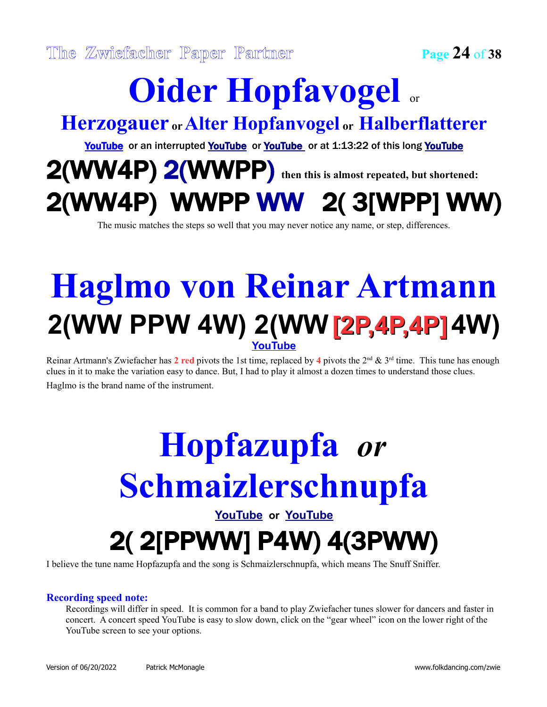## **Oider Hopfavogel** or

#### **Herzogauer or Alter Hopfanvogel or Halberflatterer**

[YouTube](https://youtu.be/UaorCv2LhNI?t=4402) or an interrupted [YouTube](http://www.youtube.com/watch?v=w_m4e2qjADw) or YouTube or at 1:13:22 of this long YouTube

### 2(WW4P) 2(WWPP) **then this is almost repeated, but shortened:** 2(WW4P) WWPP WW 2( 3[WPP] WW)

The music matches the steps so well that you may never notice any name, or step, differences.

### **Haglmo von Reinar Artmann 2(WW PPW 4W) 2(WW [2P,4P,4P]4W) [YouTube](http://www.youtube.com/watch?v=iM4DX8Bu5MA)**

Reinar Artmann's Zwiefacher has  $2 \text{ red}$  pivots the 1st time, replaced by  $4 \text{ pivots}$  the  $2^{\text{nd}} \& 3^{\text{rd}}$  time. This tune has enough clues in it to make the variation easy to dance. But, I had to play it almost a dozen times to understand those clues. Haglmo is the brand name of the instrument.

### **Hopfazupfa** *or* **Schmaizlerschnupfa [YouTube](http://www.youtube.com/watch?v=dsN2uRh3nms) or [YouTube](http://www.youtube.com/watch?v=7nODhgkn7ow)** 2( 2[PPWW] P4W) 4(3PWW)

I believe the tune name Hopfazupfa and the song is Schmaizlerschnupfa, which means The Snuff Sniffer.

#### **Recording speed note:**

Recordings will differ in speed. It is common for a band to play Zwiefacher tunes slower for dancers and faster in concert. A concert speed YouTube is easy to slow down, click on the "gear wheel" icon on the lower right of the YouTube screen to see your options.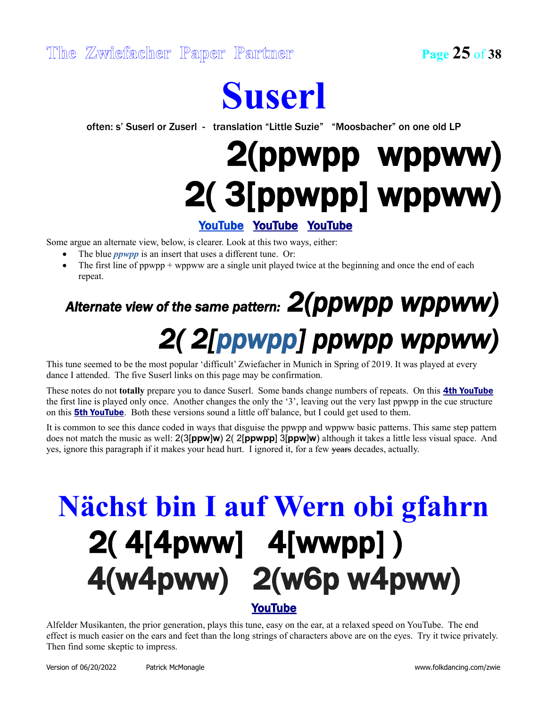### **Suserl**

often: s' Suserl or Zuserl - translation "Little Suzie" "Moosbacher" on one old LP

## 2(ppwpp wppww) 2( 3[ppwpp] wppww)

#### [YouTube](https://www.youtube.com/watch?v=4qH_cGs0cHo) [YouTube](https://www.youtube.com/watch?v=9hLYL8CuI2U) [YouTube](https://www.youtube.com/watch?v=3vD0wTOXF_w)

Some argue an alternate view, below, is clearer. Look at this two ways, either:

- The blue *ppwpp* is an insert that uses a different tune. Or:
- The first line of ppwpp + wppww are a single unit played twice at the beginning and once the end of each repeat.

### *Alternate view of the same pattern: 2(ppwpp wppww) 2( 2[ppwpp] ppwpp wppww)*

This tune seemed to be the most popular 'difficult' Zwiefacher in Munich in Spring of 2019. It was played at every dance I attended. The five Suserl links on this page may be confirmation.

These notes do not **totally** prepare you to dance Suserl. Some bands change numbers of repeats. On this [4th YouTube](http://www.youtube.com/watch?v=lkC4gj0Yze8) the first line is played only once. Another changes the only the '3', leaving out the very last ppwpp in the cue structure on this **[5th YouTube](http://www.youtube.com/watch?v=g6opNV92_bM)**. Both these versions sound a little off balance, but I could get used to them.

It is common to see this dance coded in ways that disguise the ppwpp and wppww basic patterns. This same step pattern does not match the music as well: 2(3[**ppw**]**w**) 2( 2[**ppwpp**] 3[**ppw**]**w**) although it takes a little less visual space. And yes, ignore this paragraph if it makes your head hurt. I ignored it, for a few years decades, actually.

### **Nächst bin I auf Wern obi gfahrn** 2( 4[4pww] 4[wwpp] ) 4(w4pww) 2(w6p w4pww) [YouTube](https://www.youtube.com/watch?v=RkDnLeEbFHQ)

Alfelder Musikanten, the prior generation, plays this tune, easy on the ear, at a relaxed speed on YouTube. The end effect is much easier on the ears and feet than the long strings of characters above are on the eyes. Try it twice privately. Then find some skeptic to impress.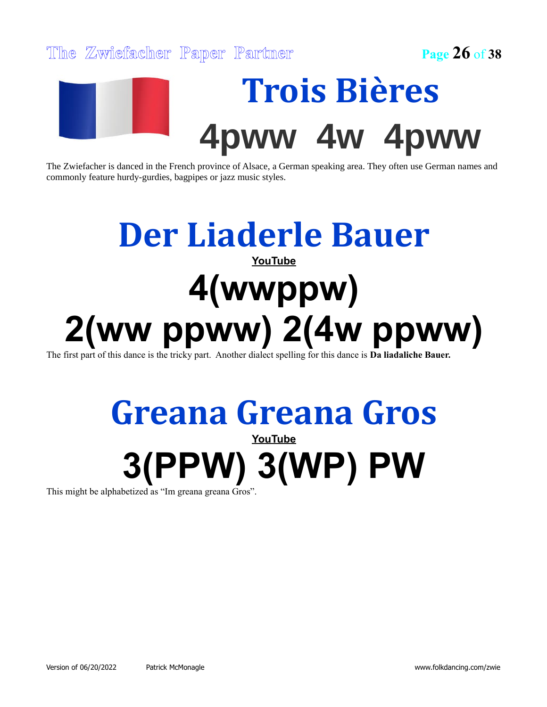

The Zwiefacher is danced in the French province of Alsace, a German speaking area. They often use German names and commonly feature hurdy-gurdies, bagpipes or jazz music styles.

### **Der Liaderle Bauer [YouTube](http://www.youtube.com/watch?v=ohfaeWj4XQg) 4(wwppw) 2(ww ppww) 2(4w ppww)**

The first part of this dance is the tricky part. Another dialect spelling for this dance is **Da liadaliche Bauer.**

#### **Greana Greana Gros [YouTube](http://www.youtube.com/watch?v=wDK0BRCVeqs)**

# **3(PPW) 3(WP) PW**

This might be alphabetized as "Im greana greana Gros".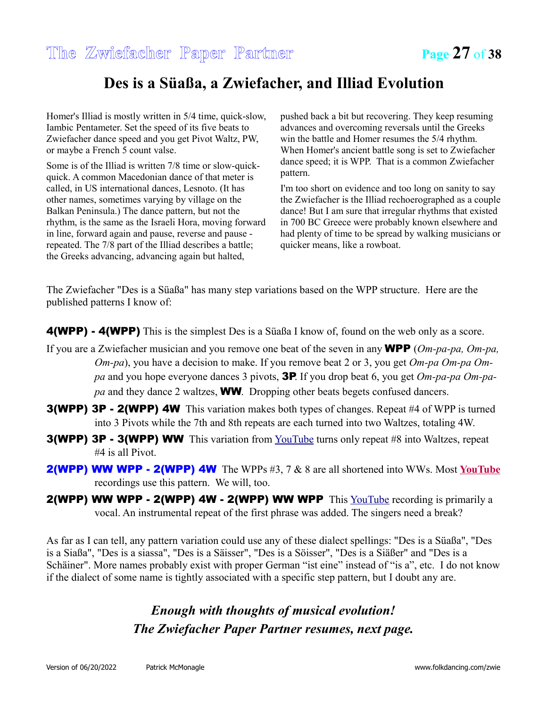#### **Des is a Süaßa, a Zwiefacher, and Illiad Evolution**

Homer's Illiad is mostly written in 5/4 time, quick-slow, Iambic Pentameter. Set the speed of its five beats to Zwiefacher dance speed and you get Pivot Waltz, PW, or maybe a French 5 count valse.

Some is of the Illiad is written 7/8 time or slow-quickquick. A common Macedonian dance of that meter is called, in US international dances, Lesnoto. (It has other names, sometimes varying by village on the Balkan Peninsula.) The dance pattern, but not the rhythm, is the same as the Israeli Hora, moving forward in line, forward again and pause, reverse and pause repeated. The 7/8 part of the Illiad describes a battle; the Greeks advancing, advancing again but halted,

pushed back a bit but recovering. They keep resuming advances and overcoming reversals until the Greeks win the battle and Homer resumes the 5/4 rhythm. When Homer's ancient battle song is set to Zwiefacher dance speed; it is WPP. That is a common Zwiefacher pattern.

I'm too short on evidence and too long on sanity to say the Zwiefacher is the Illiad rechoerographed as a couple dance! But I am sure that irregular rhythms that existed in 700 BC Greece were probably known elsewhere and had plenty of time to be spread by walking musicians or quicker means, like a rowboat.

The Zwiefacher "Des is a Süaßa" has many step variations based on the WPP structure. Here are the published patterns I know of:

4(WPP) - 4(WPP) This is the simplest Des is a Süaßa I know of, found on the web only as a score.

- If you are a Zwiefacher musician and you remove one beat of the seven in any WPP (*Om-pa-pa, Om-pa, Om-pa*), you have a decision to make. If you remove beat 2 or 3, you get *Om-pa Om-pa Ompa* and you hope everyone dances 3 pivots, 3P. If you drop beat 6, you get *Om-pa-pa Om-papa* and they dance 2 waltzes, WW. Dropping other beats begets confused dancers.
- 3(WPP) 3P 2(WPP) 4W This variation makes both types of changes. Repeat #4 of WPP is turned into 3 Pivots while the 7th and 8th repeats are each turned into two Waltzes, totaling 4W.
- 3(WPP) 3P 3(WPP) WW This variation from [YouTube](http://www.youtube.com/watch?v=3tiVbVe-r5Y) turns only repeat #8 into Waltzes, repeat #4 is all Pivot.
- 2(WPP) WW WPP 2(WPP) 4W The WPPs #3, 7 & 8 are all shortened into WWs. Most **[YouTube](http://www.youtube.com/watch?v=HKLRMItk97M)** recordings use this pattern. We will, too.
- **2(WPP) WW WPP 2(WPP) 4W 2(WPP) WW WPP** This  $\frac{Volume}{Value}$  recording is primarily a vocal. An instrumental repeat of the first phrase was added. The singers need a break?

As far as I can tell, any pattern variation could use any of these dialect spellings: "Des is a Süaßa", "Des is a Siaßa", "Des is a siassa", "Des is a Säisser", "Des is a Söisser", "Des is a Siäßer" and "Des is a Schäiner". More names probably exist with proper German "ist eine" instead of "is a", etc. I do not know if the dialect of some name is tightly associated with a specific step pattern, but I doubt any are.

#### *Enough with thoughts of musical evolution! The Zwiefacher Paper Partner resumes, next page.*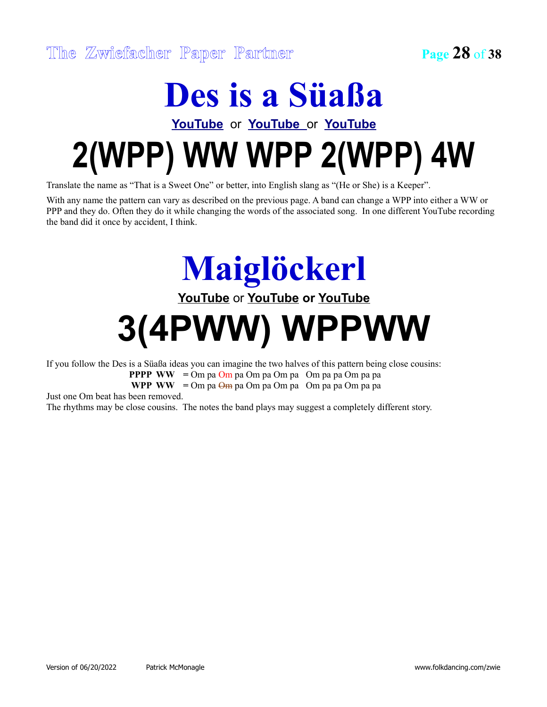### **Des is a Süaßa**

### **[YouTube](http://www.youtube.com/watch?v=HKLRMItk97M)** or **[YouTube](http://www.youtube.com/watch?v=_X4w4k-E83c)** or **[YouTube](http://www.youtube.com/watch?v=hYRmnQXAzNI) 2(WPP) WW WPP 2(WPP) 4W**

Translate the name as "That is a Sweet One" or better, into English slang as "(He or She) is a Keeper".

With any name the pattern can vary as described on the previous page. A band can change a WPP into either a WW or PPP and they do. Often they do it while changing the words of the associated song. In one different YouTube recording the band did it once by accident, I think.

> **Maiglöckerl [YouTube](http://www.youtube.com/watch?v=xA5u7R6SYjU)** or **[YouTube](http://www.youtube.com/watch?v=p3ofFDWAwqI) or [YouTube](https://youtu.be/UaorCv2LhNI?t=1978)**

## **3(4PWW) WPPWW**

If you follow the Des is a Süaßa ideas you can imagine the two halves of this pattern being close cousins:

**PPPP WW =** Om pa Om pa Om pa Om pa Om pa pa Om pa pa

**WPP WW =** Om pa Om pa Om pa Om pa Om pa pa Om pa pa

Just one Om beat has been removed.

The rhythms may be close cousins. The notes the band plays may suggest a completely different story.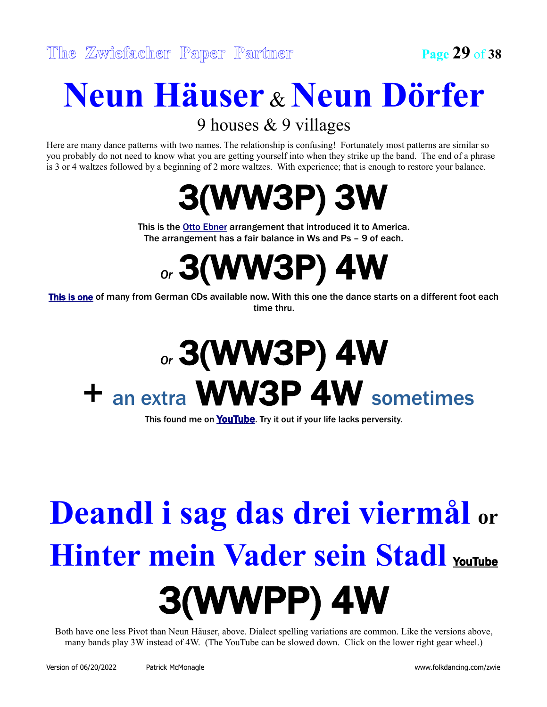### **Neun Häuser** & **Neun Dörfer**

9 houses & 9 villages

Here are many dance patterns with two names. The relationship is confusing! Fortunately most patterns are similar so you probably do not need to know what you are getting yourself into when they strike up the band. The end of a phrase is 3 or 4 waltzes followed by a beginning of 2 more waltzes. With experience; that is enough to restore your balance.



This is the [Otto Ebner](http://www.youtube.com/watch?v=BMHYdd_J3xw) arrangement that introduced it to America. The arrangement has a fair balance in Ws and Ps – 9 of each.

*Or* 3(WW3P) 4W

This is one of many from German CDs available now. With this one the dance starts on a different foot each time thru.

## *Or* 3(WW3P) 4W + an extra WW3P 4W sometimes

This found me on **[YouTube](http://www.youtube.com/watch?v=ySmEYVznqLM)**. Try it out if your life lacks perversity.

## **Deandl i sag das drei viermål or Hinter mein Vader sein Stadl [YouTube](https://www.youtube.com/watch?v=d8ZYjy7I86A)** 3(WWPP) 4W

Both have one less Pivot than Neun Häuser, above. Dialect spelling variations are common. Like the versions above, many bands play 3W instead of 4W. (The YouTube can be slowed down. Click on the lower right gear wheel.)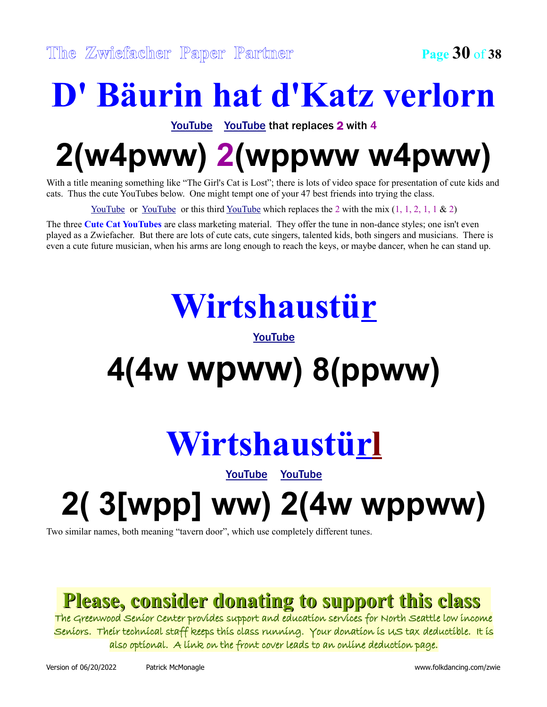### **D' Bäurin hat d'Katz verlorn**

[YouTube](http://www.youtube.com/watch?v=vmxl1sRYaG0) [YouTube](http://www.youtube.com/watch?v=4d-HpPkwfsY) that replaces 2 with 4

## **2(w4pww) 2(wppww w4pww)**

With a title meaning something like "The Girl's Cat is Lost"; there is lots of video space for presentation of cute kids and cats. Thus the cute YouTubes below. One might tempt one of your 47 best friends into trying the class.

<u>YouTube</u> or <u>YouTube</u> or this third <u>YouTube</u> which replaces the 2 with the mix  $(1, 1, 2, 1, 1 \& 2)$ 

The three **Cute Cat YouTubes** are class marketing material. They offer the tune in non-dance styles; one isn't even played as a Zwiefacher. But there are lots of cute cats, cute singers, talented kids, both singers and musicians. There is even a cute future musician, when his arms are long enough to reach the keys, or maybe dancer, when he can stand up.

### **Wirtshaustür**

#### [YouTube](http://www.youtube.com/watch?v=GeSHmxMPUhY)

## **4(4w wpww) 8(ppww)**

## **Wirtshaustürl**

[YouTube](http://www.youtube.com/watch?v=yOkAEFYOA_A) [YouTube](http://www.youtube.com/watch?v=MR9qEDd8Pew)

## **2( 3[wpp] ww) 2(4w wppww)**

Two similar names, both meaning "tavern door", which use completely different tunes.

#### **Please, consider donating to support this class**

The Greenwood Senior Center provides support and education services for North Seattle low income Seniors. Their technical staff keeps this class running. Your donation is US tax deductible. It is also optional. A link on the front cover leads to an online deduction page.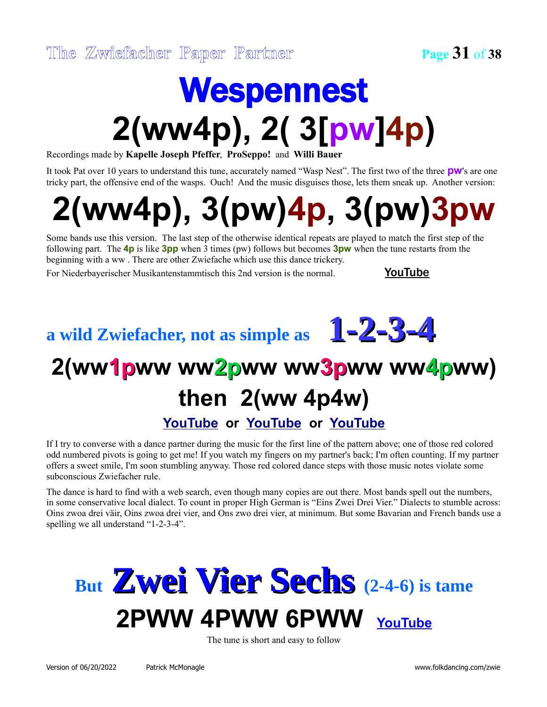## Wespennest **2(ww4p), 2( 3[pw]4p)**

Recordings made by **Kapelle Joseph Pfeffer**, **ProSeppo!** and **Willi Bauer**

It took Pat over 10 years to understand this tune, accurately named "Wasp Nest". The first two of the three **pw**'s are one tricky part, the offensive end of the wasps. Ouch! And the music disguises those, lets them sneak up. Another version:

## **2(ww4p), 3(pw)4p, 3(pw)3pw**

Some bands use this version. The last step of the otherwise identical repeats are played to match the first step of the following part. The **4p** is like **3pp** when 3 times (pw) follows but becomes **3pw** when the tune restarts from the beginning with a ww . There are other Zwiefache which use this dance trickery.

For Niederbayerischer Musikantenstammtisch this 2nd version is the normal. **[YouTube](https://youtu.be/UaorCv2LhNI?t=3593)** 

### **a wild Zwiefacher, not as simple as 1-2-3-4**

### **2(ww1pww ww2pww ww3pww ww4pww) then 2(ww 4p4w) [YouTube](http://www.youtube.com/watch?v=9uldVCg4ZcM) or [YouTube](http://www.youtube.com/watch?v=MElYHm87oC8) or [YouTube](http://www.youtube.com/watch?v=oWWd8cDwncU)**

If I try to converse with a dance partner during the music for the first line of the pattern above; one of those red colored odd numbered pivots is going to get me! If you watch my fingers on my partner's back; I'm often counting. If my partner offers a sweet smile, I'm soon stumbling anyway. Those red colored dance steps with those music notes violate some subconscious Zwiefacher rule.

The dance is hard to find with a web search, even though many copies are out there. Most bands spell out the numbers, in some conservative local dialect. To count in proper High German is "Eins Zwei Drei Vier." Dialects to stumble across: Oins zwoa drei väir, Oins zwoa drei vier, and Ons zwo drei vier, at minimum. But some Bavarian and French bands use a spelling we all understand "1-2-3-4".

### **But Zwei Vier Sechs (2-4-6) is tame 2PWW 4PWW 6PWW [YouTube](https://www.youtube.com/watch?v=YaSk0-4NTMw)**

The tune is short and easy to follow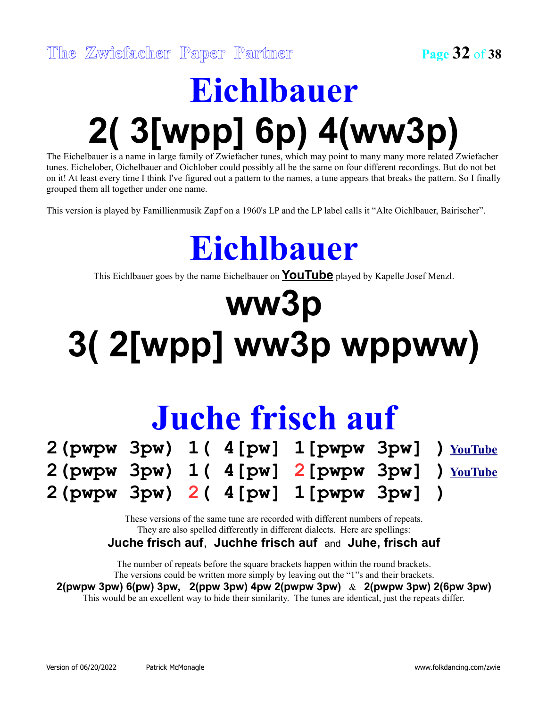## **Eichlbauer 2( 3[wpp] 6p) 4(ww3p)**

The Eichelbauer is a name in large family of Zwiefacher tunes, which may point to many many more related Zwiefacher tunes. Eichelober, Oichelbauer and Oichlober could possibly all be the same on four different recordings. But do not bet on it! At least every time I think I've figured out a pattern to the names, a tune appears that breaks the pattern. So I finally grouped them all together under one name.

This version is played by Famillienmusik Zapf on a 1960's LP and the LP label calls it "Alte Oichlbauer, Bairischer".

## **Eichlbauer**

This Eichlbauer goes by the name Eichelbauer on **[YouTube](http://www.youtube.com/watch?v=ZNMDxOLOAco)** played by Kapelle Josef Menzl.

## **ww3p 3( 2[wpp] ww3p wppww)**

### **Juche frisch auf**

|  |  | $2$ (pwpw 3pw) $1(4[pw] 1[pwpw 3pw] )$ $\frac{Volume}{D}$ |  |
|--|--|-----------------------------------------------------------|--|
|  |  | $2$ (pwpw 3pw) $1(4[pw] 2[pwpw 3pw] )$ $\frac{Volume}{2}$ |  |
|  |  | 2(pwp W 3pw) 2(4[pw] 1[pwp W 3pw] )                       |  |

These versions of the same tune are recorded with different numbers of repeats. They are also spelled differently in different dialects. Here are spellings:

**Juche frisch auf**, **Juchhe frisch auf** and **Juhe, frisch auf**

The number of repeats before the square brackets happen within the round brackets. The versions could be written more simply by leaving out the "1"s and their brackets.

**2(pwpw 3pw) 6(pw) 3pw, 2(ppw 3pw) 4pw 2(pwpw 3pw)** & **2(pwpw 3pw) 2(6pw 3pw)** This would be an excellent way to hide their similarity. The tunes are identical, just the repeats differ.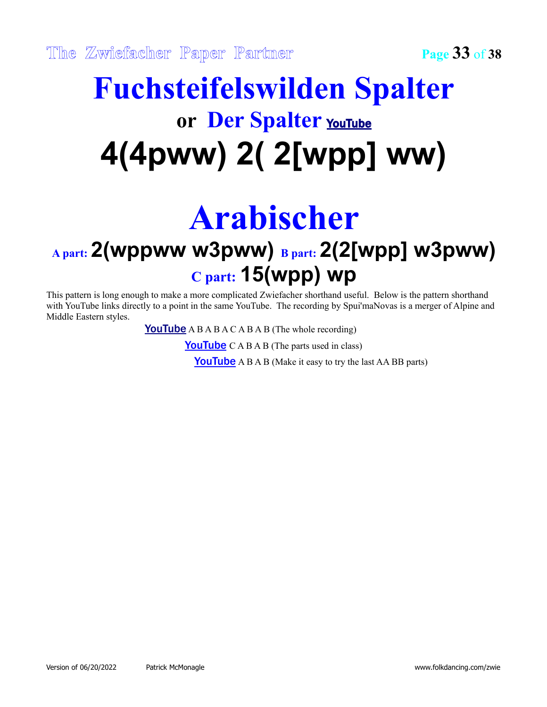### **Fuchsteifelswilden Spalter or Der Spalter** [YouTube](http://www.youtube.com/watch?v=nPlnL0YBFRA) **4(4pww) 2( 2[wpp] ww)**

## **Arabischer**

### **A part: 2(wppww w3pww) B part: 2(2[wpp] w3pww) C part: 15(wpp) wp**

This pattern is long enough to make a more complicated Zwiefacher shorthand useful. Below is the pattern shorthand with YouTube links directly to a point in the same YouTube. The recording by Spui'maNovas is a merger of Alpine and Middle Eastern styles.

**[YouTube](https://youtu.be/P0e_1gt-pr4?t=27)** A B A B A C A B A B (The whole recording)

**[YouTube](https://youtu.be/P0e_1gt-pr4?t=114)**  $C \land B \land B$  (The parts used in class)

**[YouTube](https://youtu.be/P0e_1gt-pr4?t=149)** A B A B (Make it easy to try the last AA BB parts)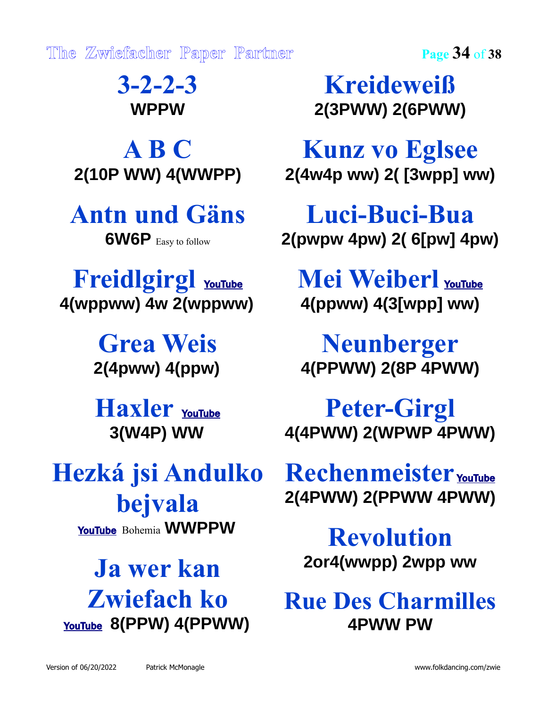**The Zwiefacher Paper Partner Page 34** of **38**

**3-2-2-3 WPPW**

**A B C 2(10P WW) 4(WWPP)**

#### **Antn und Gäns 6W6P** Easy to follow

**Freidlgirgl** [YouTube](http://www.youtube.com/watch?v=PGhdvBB-lLM) **4(wppww) 4w 2(wppww)**

> **Grea Weis 2(4pww) 4(ppw)**

**Haxler** [YouTube](file:///D:/data/Folcdanc/Paper%20Partner/www.youtube.com/watch%3Fv=thLyFO7D5Ng) **3(W4P) WW**

**Hezká jsi Andulko bejvala** [YouTube](http://www.youtube.com/watch?v=ZTnqrbSEozw) Bohemia **WWPPW**

**Ja wer kan Zwiefach ko** [YouTube](file:///D:/data/Folcdanc/Paper%20Partner/www.youtube.com/watch%3Fv=ALKV9OrXgqE) **8(PPW) 4(PPWW)**

**Kreideweiß 2(3PWW) 2(6PWW)**

**Kunz vo Eglsee 2(4w4p ww) 2( [3wpp] ww)**

**Luci-Buci-Bua 2(pwpw 4pw) 2( 6[pw] 4pw)**

**Mei Weiberl** [YouTube](http://www.youtube.com/watch?v=A__Ip3TLrKg) **4(ppww) 4(3[wpp] ww)**

**Neunberger 4(PPWW) 2(8P 4PWW)**

**Peter-Girgl 4(4PWW) 2(WPWP 4PWW)**

Rechenmeister [YouTube](file:///D:/data/Folcdanc/Paper%20Partner/www.youtube.com/watch%3Fv=zXSRcKtQkk8) **2(4PWW) 2(PPWW 4PWW)**

**Revolution 2or4(wwpp) 2wpp ww**

**Rue Des Charmilles 4PWW PW**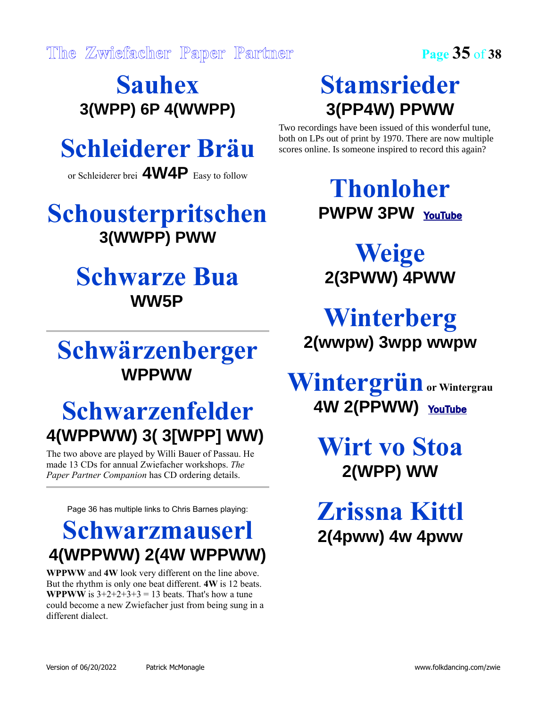**Sauhex 3(WPP) 6P 4(WWPP)**

### **Schleiderer Bräu**

or Schleiderer brei **4W4P** Easy to follow

#### **Schousterpritschen 3(WWPP) PWW**

#### **Schwarze Bua WW5P**

#### **Schwärzenberger WPPWW**

### **Schwarzenfelder 4(WPPWW) 3( 3[WPP] WW)**

The two above are played by Willi Bauer of Passau. He made 13 CDs for annual Zwiefacher workshops. *The Paper Partner Companion* has CD ordering details.

Page 36 has multiple links to Chris Barnes playing:

#### **Schwarzmauserl 4(WPPWW) 2(4W WPPWW)**

**WPPWW** and **4W** look very different on the line above. But the rhythm is only one beat different. **4W** is 12 beats. **WPPWW** is  $3+2+2+3+3 = 13$  beats. That's how a tune could become a new Zwiefacher just from being sung in a different dialect.

### **Stamsrieder 3(PP4W) PPWW**

Two recordings have been issued of this wonderful tune, both on LPs out of print by 1970. There are now multiple scores online. Is someone inspired to record this again?

> **Thonloher PWPW 3PW** [YouTube](http://www.youtube.com/watch?v=JmOvDtUH-5k)

**Weige 2(3PWW) 4PWW**

**Winterberg 2(wwpw) 3wpp wwpw**

**Wintergrün or Wintergrau 4W 2(PPWW)** [YouTube](file:///D:/data/Folcdanc/Paper%20Partner/www.youtube.com/watch%3Fv=c7mSkoUewMM)

> **Wirt vo Stoa 2(WPP) WW**

**Zrissna Kittl 2(4pww) 4w 4pww**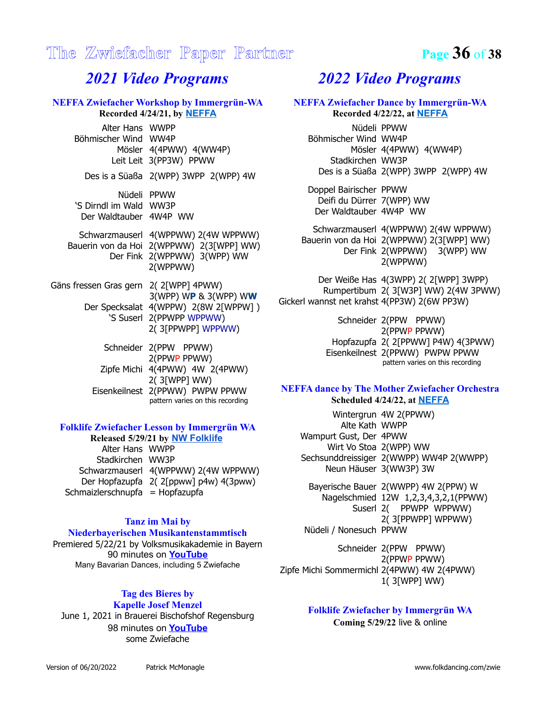#### **The Zwiefacher Paper Partner Page 36** of **38**

#### *2021 Video Programs*

#### **NEFFA Zwiefacher Workshop by Immergrün-WA Recorded 4/24/21, by [NEFFA](https://vimeopro.com/newenglandfolk/neffa-2021-zoom-recordings/video/546926810)**

Alter Hans WWPP Böhmischer Wind WW4P Mösler 4(4PWW) 4(WW4P) Leit Leit 3(PP3W) PPWW

Des is a Süaßa 2(WPP) 3WPP 2(WPP) 4W

Nüdeli PPWW 'S Dirndl im Wald WW3P Der Waldtauber 4W4P WW

Schwarzmauserl 4(WPPWW) 2(4W WPPWW) Bauerin von da Hoi 2(WPPWW) 2(3[WPP] WW) Der Fink 2(WPPWW) 3(WPP) WW 2(WPPWW)

Gäns fressen Gras gern 2( 2[WPP] 4PWW) 3(WPP) W**P** & 3(WPP) W**W** Der Specksalat 4(WPPW) 2(8W 2[WPPW] ) 'S Suserl 2(PPWPP WPPWW) 2( 3[PPWPP] WPPWW)

> Schneider 2(PPW PPWW) 2(PPWP PPWW) Zipfe Michi 4(4PWW) 4W 2(4PWW) 2( 3[WPP] WW) Eisenkeilnest 2(PPWW) PWPW PPWW pattern varies on this recording

#### **Folklife Zwiefacher Lesson by Immergrün WA**

| Released 5/29/21 by NW Folklife |                                       |  |  |  |
|---------------------------------|---------------------------------------|--|--|--|
| Alter Hans WWPP                 |                                       |  |  |  |
| Stadkirchen WW3P                |                                       |  |  |  |
|                                 | Schwarzmauserl 4(WPPWW) 2(4W WPPWW)   |  |  |  |
|                                 | Der Hopfazupfa 2(2[ppww] p4w) 4(3pww) |  |  |  |
| Schmaizlerschnupfa = Hopfazupfa |                                       |  |  |  |

#### **Tanz im Mai by**

#### **Niederbayerischen Musikantenstammtisch**

Premiered 5/22/21 by Volksmusikakademie in Bayern 90 minutes on **[YouTube](https://www.youtube.com/watch?v=UaorCv2LhNI)** Many Bavarian Dances, including 5 Zwiefache

#### **Tag des Bieres by Kapelle Josef Menzel**

June 1, 2021 in Brauerei Bischofshof Regensburg 98 minutes on **[YouTube](https://www.youtube.com/watch?v=Jy2TelRAsZI)** some Zwiefache

#### *2022 Video Programs*

#### **NEFFA Zwiefacher Dance by Immergrün-WA Recorded 4/22/22, at [NEFFA](https://neffa.org/)** Nüdeli PPWW Böhmischer Wind WW4P Mösler 4(4PWW) 4(WW4P) Stadkirchen WW3P Des is a Süaßa 2(WPP) 3WPP 2(WPP) 4W Doppel Bairischer PPWW Deifi du Dürrer 7(WPP) WW Der Waldtauber 4W4P WW Schwarzmauserl 4(WPPWW) 2(4W WPPWW) Bauerin von da Hoi 2(WPPWW) 2(3[WPP] WW) Der Fink 2(WPPWW) 3(WPP) WW 2(WPPWW) Der Weiße Has 4(3WPP) 2( 2[WPP] 3WPP) Rumpertibum 2( 3[W3P] WW) 2(4W 3PWW) Gickerl wannst net krahst 4(PP3W) 2(6W PP3W) Schneider 2(PPW PPWW)

2(PPWP PPWW) Hopfazupfa 2( 2[PPWW] P4W) 4(3PWW) Eisenkeilnest 2(PPWW) PWPW PPWW pattern varies on this recording

#### **NEFFA dance by The Mother Zwiefacher Orchestra Scheduled 4/24/22, at [NEFFA](https://neffa.org/)**

Wintergrun 4W 2(PPWW) Alte Kath WWPP Wampurt Gust, Der 4PWW Wirt Vo Stoa 2(WPP) WW Sechsunddreissiger 2(WWPP) WW4P 2(WWPP) Neun Häuser 3(WW3P) 3W

Bayerische Bauer 2(WWPP) 4W 2(PPW) W Nagelschmied 12W 1,2,3,4,3,2,1(PPWW) Suserl 2( PPWPP WPPWW) 2( 3[PPWPP] WPPWW) Nüdeli / Nonesuch PPWW

Schneider 2(PPW PPWW) 2(PPWP PPWW) Zipfe Michi Sommermichl 2(4PWW) 4W 2(4PWW) 1( 3[WPP] WW)

#### **Folklife Zwiefacher by Immergrün WA Coming 5/29/22** live & online

Version of 06/20/2022 Patrick McMonagle www.folkdancing.com/zwie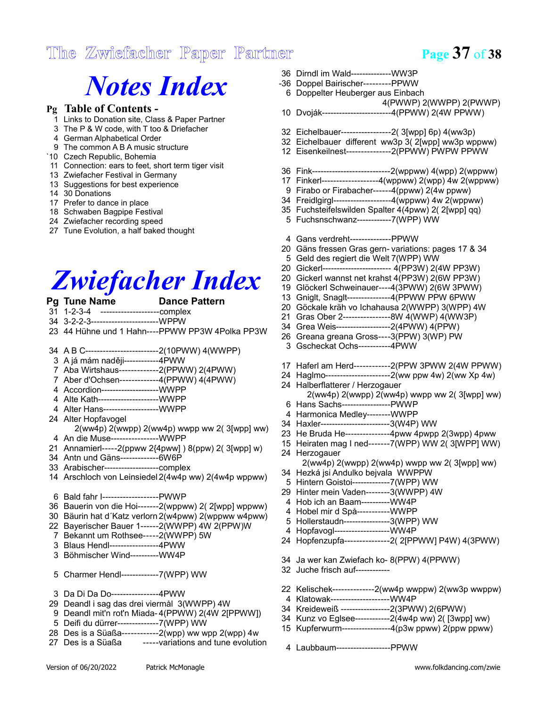#### **The Zwiefacher Paper Partner Page 37** of **38**

### *Notes Index*

#### **Pg Table of Contents -**

- Links to Donation site, Class & Paper Partner
- The P & W code, with T too & Driefacher
- German Alphabetical Order
- The common A B A music structure
- `10 Czech Republic, Bohemia
- Connection: ears to feet, short term tiger visit
- Zwiefacher Festival in Germany
- Suggestions for best experience
- 30 Donations
- Prefer to dance in place
- Schwaben Bagpipe Festival
- Zwiefacher recording speed
- Tune Evolution, a half baked thought

### *Zwiefacher Index*

#### **Pg Tune Name Dance Pattern**

- 1-2-3-4 --------------------complex
- 3-2-2-3-----------------------WPPW
- 44 Hühne und 1 Hahn----PPWW PP3W 4Polka PP3W

#### A B C-------------------------2(10PWW) 4(WWPP)

- A já mám naději------------4PWW
- Aba Wirtshaus-------------2(PPWW) 2(4PWW)
- Aber d'Ochsen-------------4(PPWW) 4(4PWW)
- Accordion--------------------WWPP
- Alte Kath---------------------WWPP
- Alter Hans-------------------WWPP
- Alter Hopfavogel 2(ww4p) 2(wwpp) 2(ww4p) wwpp ww 2( 3[wpp] ww)
- An die Muse----------------WWPP
- Annamierl-----2(ppww 2{4pww] ) 8(ppw) 2( 3[wpp] w)
- Antn und Gäns-------------6W6P
- Arabischer-------------------complex
- Arschloch von Leinsiedel 2(4w4p ww) 2(4w4p wppww)
- Bald fahr I-------------------PWWP
- Bauerin von die Hoi-------2(wppww) 2( 2[wpp] wppww)
- Bäurin hat d´Katz verlorn 2(w4pww) 2(wppww w4pww)
- Bayerischer Bauer 1------2(WWPP) 4W 2(PPW)W
- Bekannt um Rothsee-----2(WWPP) 5W
- Blaus Hendl-----------------4PWW
- Böhmischer Wind----------WW4P
- Charmer Hendl-------------7(WPP) WW
- Da Di Da Do----------------4PWW
- Deandl i sag das drei viermål 3(WWPP) 4W
- Deandl mit'n rot'n Miada- 4(PPWW) 2(4W 2[PPWW])
- Deifi du dürrer--------------7(WPP) WW
- Des is a Süaßa------------2(wpp) ww wpp 2(wpp) 4w
- -----variations and tune evolution
- Dirndl im Wald--------------WW3P
- -36 Doppel Bairischer---------PPWW
- Doppelter Heuberger aus Einbach 4(PWWP) 2(WWPP) 2(PWWP)
- Dvoják------------------------4(PPWW) 2(4W PPWW)
- Eichelbauer-----------------2( 3[wpp] 6p) 4(ww3p)
- Eichelbauer different ww3p 3( 2[wpp] ww3p wppww)
- Eisenkeilnest---------------2(PPWW) PWPW PPWW
- Fink---------------------------2(wppww) 4(wpp) 2(wppww)
- Finkerl-------------------4(wppww) 2(wpp) 4w 2(wppww)
- Firabo or Firabacher------4(ppww) 2(4w ppww)
- Freidlgirgl--------------------4(wppww) 4w 2(wppww)
- Fuchsteifelswilden Spalter 4(4pww) 2( 2[wpp] qq)
- Fuchsnschwanz------------7(WPP) WW
- Gans verdreht--------------PPWW
- Gäns fressen Gras gern- variations: pages 17 & 34
- Geld des regiert die Welt 7(WPP) WW
- Gickerl------------------------ 4(PP3W) 2(4W PP3W)
- Gickerl wannst net krahst 4(PP3W) 2(6W PP3W)
- Glöckerl Schweinauer----4(3PWW) 2(6W 3PWW)
- Gniglt, Snaglt---------------4(PPWW PPW 6PWW
- Göckale kräh vo Ichahausa 2(WWPP) 3(WPP) 4W
- Gras Ober 2----------------8W 4(WWP) 4(WW3P)
- Grea Weis-------------------2(4PWW) 4(PPW)
- Greana greana Gross----3(PPW) 3(WP) PW
- Gscheckat Ochs-----------4PWW
- Haferl am Herd------------2(PPW 3PWW 2(4W PPWW)
- Haglmo----------------------2(ww ppw 4w) 2(ww Xp 4w)
- Halberflatterer / Herzogauer 2(ww4p) 2(wwpp) 2(ww4p) wwpp ww 2( 3[wpp] ww)
- Hans Sachs-----------------PWWP
- Harmonica Medley--------WWPP
- Haxler------------------------3(W4P) WW
- He Bruda He---------------4pww 4pwpp 2(3wpp) 4pww
- Heiraten mag I ned-------7(WPP) WW 2( 3[WPP] WW)
- Herzogauer
- 2(ww4p) 2(wwpp) 2(ww4p) wwpp ww 2( 3[wpp] ww) Hezká jsi Andulko bejvala WWPPW
- Hintern Goistoi-------------7(WPP) WW
- Hinter mein Vaden--------3(WWPP) 4W
- Hob ich an Baam----------WW4P
- Hobel mir d Spå-----------WWPP
- Hollerstaudn----------------3(WPP) WW
- Hopfavogl-------------------WW4P
- Hopfenzupfa---------------2( 2[PPWW] P4W) 4(3PWW)
- Ja wer kan Zwiefach ko- 8(PPW) 4(PPWW)
- Juche frisch auf------------
- Kelischek--------------2(ww4p wwppw) 2(ww3p wwppw)
- Klatowak--------------------WW4P
- Kreideweiß -----------------2(3PWW) 2(6PWW) Kunz vo Eglsee------------2(4w4p ww) 2( [3wpp] ww)
- Kupferwurm-----------------4(p3w ppww) 2(ppw ppww)
- 
- Laubbaum-------------------PPWW

Version of 06/20/2022 Patrick McMonagle www.folkdancing.com/zwie